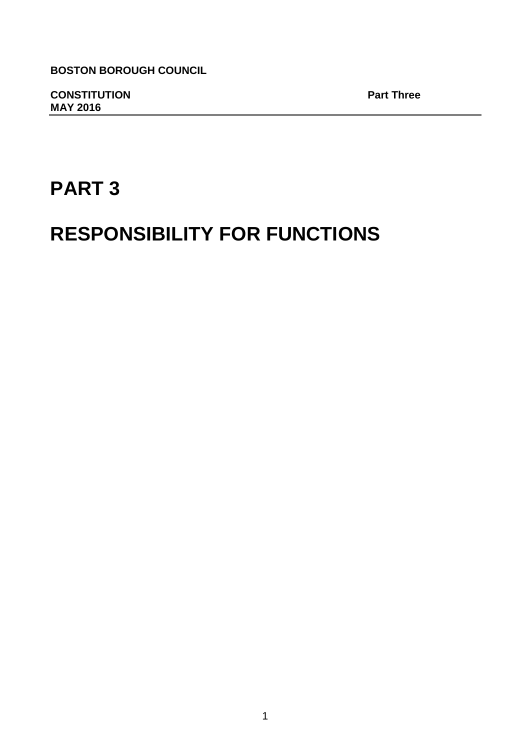**BOSTON BOROUGH COUNCIL**

**CONSTITUTION Part Three MAY 2016** 

# **PART 3**

# **RESPONSIBILITY FOR FUNCTIONS**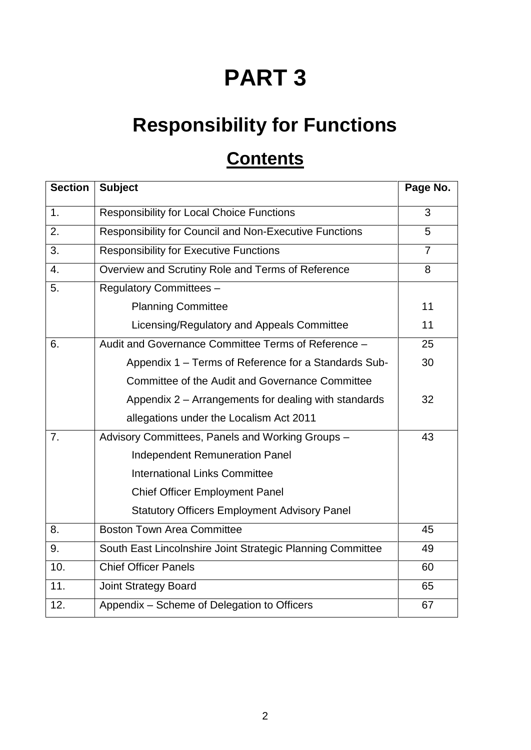# **PART 3**

# **Responsibility for Functions**

# **Contents**

| <b>Section</b> | <b>Subject</b>                                             | Page No.       |
|----------------|------------------------------------------------------------|----------------|
| 1.             | <b>Responsibility for Local Choice Functions</b>           | 3              |
| 2.             | Responsibility for Council and Non-Executive Functions     | 5              |
| 3.             | <b>Responsibility for Executive Functions</b>              | $\overline{7}$ |
| 4.             | Overview and Scrutiny Role and Terms of Reference          | 8              |
| 5.             | <b>Regulatory Committees -</b>                             |                |
|                | <b>Planning Committee</b>                                  | 11             |
|                | Licensing/Regulatory and Appeals Committee                 | 11             |
| 6.             | Audit and Governance Committee Terms of Reference -        | 25             |
|                | Appendix 1 – Terms of Reference for a Standards Sub-       | 30             |
|                | Committee of the Audit and Governance Committee            |                |
|                | Appendix 2 – Arrangements for dealing with standards       | 32             |
|                | allegations under the Localism Act 2011                    |                |
| 7.             | Advisory Committees, Panels and Working Groups -           | 43             |
|                | <b>Independent Remuneration Panel</b>                      |                |
|                | <b>International Links Committee</b>                       |                |
|                | <b>Chief Officer Employment Panel</b>                      |                |
|                | <b>Statutory Officers Employment Advisory Panel</b>        |                |
| 8.             | <b>Boston Town Area Committee</b>                          | 45             |
| 9.             | South East Lincolnshire Joint Strategic Planning Committee | 49             |
| 10.            | <b>Chief Officer Panels</b>                                | 60             |
| 11.            | <b>Joint Strategy Board</b>                                | 65             |
| 12.            | Appendix - Scheme of Delegation to Officers                | 67             |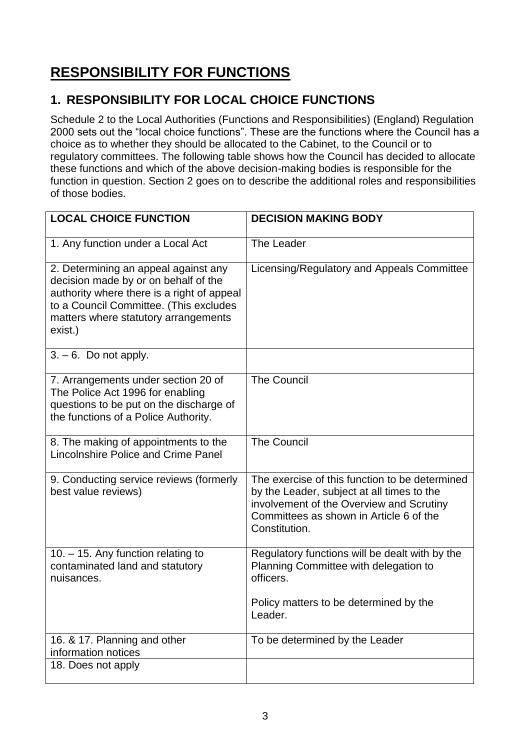# **RESPONSIBILITY FOR FUNCTIONS**

# **1. RESPONSIBILITY FOR LOCAL CHOICE FUNCTIONS**

Schedule 2 to the Local Authorities (Functions and Responsibilities) (England) Regulation 2000 sets out the "local choice functions". These are the functions where the Council has a choice as to whether they should be allocated to the Cabinet, to the Council or to regulatory committees. The following table shows how the Council has decided to allocate these functions and which of the above decision-making bodies is responsible for the function in question. Section 2 goes on to describe the additional roles and responsibilities of those bodies.

| <b>LOCAL CHOICE FUNCTION</b>                                                                                                                                                                                            | <b>DECISION MAKING BODY</b>                                                                                                                                                                          |
|-------------------------------------------------------------------------------------------------------------------------------------------------------------------------------------------------------------------------|------------------------------------------------------------------------------------------------------------------------------------------------------------------------------------------------------|
| 1. Any function under a Local Act                                                                                                                                                                                       | The Leader                                                                                                                                                                                           |
| 2. Determining an appeal against any<br>decision made by or on behalf of the<br>authority where there is a right of appeal<br>to a Council Committee. (This excludes<br>matters where statutory arrangements<br>exist.) | Licensing/Regulatory and Appeals Committee                                                                                                                                                           |
| $3. - 6$ . Do not apply.                                                                                                                                                                                                |                                                                                                                                                                                                      |
| 7. Arrangements under section 20 of<br>The Police Act 1996 for enabling<br>questions to be put on the discharge of<br>the functions of a Police Authority.                                                              | <b>The Council</b>                                                                                                                                                                                   |
| 8. The making of appointments to the<br>Lincolnshire Police and Crime Panel                                                                                                                                             | <b>The Council</b>                                                                                                                                                                                   |
| 9. Conducting service reviews (formerly<br>best value reviews)                                                                                                                                                          | The exercise of this function to be determined<br>by the Leader, subject at all times to the<br>involvement of the Overview and Scrutiny<br>Committees as shown in Article 6 of the<br>Constitution. |
| 10. - 15. Any function relating to<br>contaminated land and statutory<br>nuisances.                                                                                                                                     | Regulatory functions will be dealt with by the<br>Planning Committee with delegation to<br>officers.                                                                                                 |
|                                                                                                                                                                                                                         | Policy matters to be determined by the<br>Leader.                                                                                                                                                    |
| 16. & 17. Planning and other<br>information notices                                                                                                                                                                     | To be determined by the Leader                                                                                                                                                                       |
| 18. Does not apply                                                                                                                                                                                                      |                                                                                                                                                                                                      |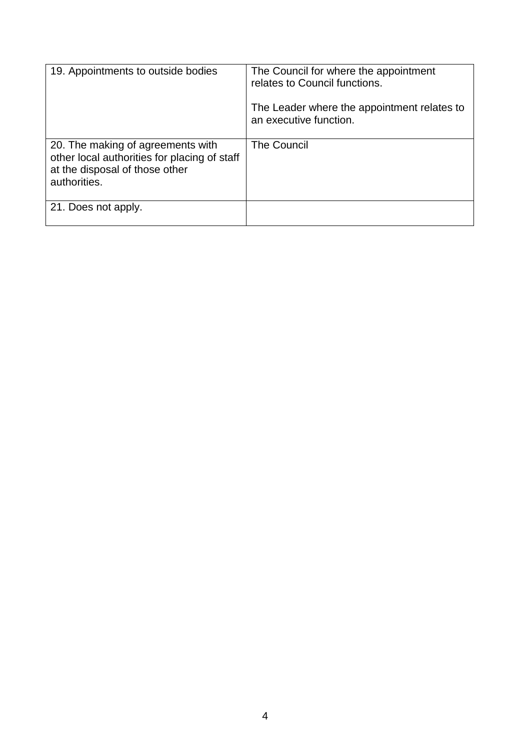| 19. Appointments to outside bodies                                                                                                  | The Council for where the appointment<br>relates to Council functions. |
|-------------------------------------------------------------------------------------------------------------------------------------|------------------------------------------------------------------------|
|                                                                                                                                     | The Leader where the appointment relates to<br>an executive function.  |
| 20. The making of agreements with<br>other local authorities for placing of staff<br>at the disposal of those other<br>authorities. | <b>The Council</b>                                                     |
| 21. Does not apply.                                                                                                                 |                                                                        |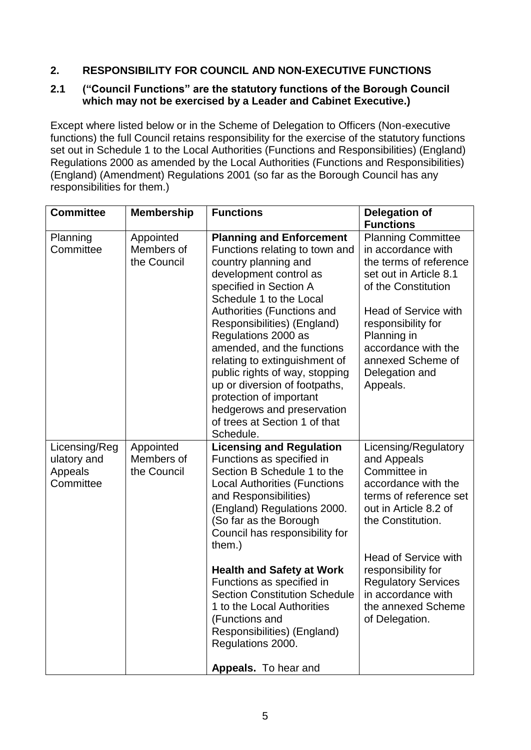# **2. RESPONSIBILITY FOR COUNCIL AND NON-EXECUTIVE FUNCTIONS**

#### **2.1 ("Council Functions" are the statutory functions of the Borough Council which may not be exercised by a Leader and Cabinet Executive.)**

Except where listed below or in the Scheme of Delegation to Officers (Non-executive functions) the full Council retains responsibility for the exercise of the statutory functions set out in Schedule 1 to the Local Authorities (Functions and Responsibilities) (England) Regulations 2000 as amended by the Local Authorities (Functions and Responsibilities) (England) (Amendment) Regulations 2001 (so far as the Borough Council has any responsibilities for them.)

| <b>Committee</b>                                     | <b>Membership</b>                      | <b>Functions</b>                                                                                                                                                                                                                                                                                                                                                                                                                                                                                      | <b>Delegation of</b><br><b>Functions</b>                                                                                                                                                                                                                                                            |
|------------------------------------------------------|----------------------------------------|-------------------------------------------------------------------------------------------------------------------------------------------------------------------------------------------------------------------------------------------------------------------------------------------------------------------------------------------------------------------------------------------------------------------------------------------------------------------------------------------------------|-----------------------------------------------------------------------------------------------------------------------------------------------------------------------------------------------------------------------------------------------------------------------------------------------------|
| Planning<br>Committee                                | Appointed<br>Members of<br>the Council | <b>Planning and Enforcement</b><br>Functions relating to town and<br>country planning and<br>development control as<br>specified in Section A<br>Schedule 1 to the Local<br>Authorities (Functions and<br>Responsibilities) (England)<br>Regulations 2000 as<br>amended, and the functions<br>relating to extinguishment of<br>public rights of way, stopping<br>up or diversion of footpaths,<br>protection of important<br>hedgerows and preservation<br>of trees at Section 1 of that<br>Schedule. | <b>Planning Committee</b><br>in accordance with<br>the terms of reference<br>set out in Article 8.1<br>of the Constitution<br><b>Head of Service with</b><br>responsibility for<br>Planning in<br>accordance with the<br>annexed Scheme of<br>Delegation and<br>Appeals.                            |
| Licensing/Reg<br>ulatory and<br>Appeals<br>Committee | Appointed<br>Members of<br>the Council | <b>Licensing and Regulation</b><br>Functions as specified in<br>Section B Schedule 1 to the<br><b>Local Authorities (Functions</b><br>and Responsibilities)<br>(England) Regulations 2000.<br>(So far as the Borough<br>Council has responsibility for<br>them.)<br><b>Health and Safety at Work</b><br>Functions as specified in<br><b>Section Constitution Schedule</b><br>1 to the Local Authorities<br>(Functions and<br>Responsibilities) (England)<br>Regulations 2000.<br>Appeals. To hear and | Licensing/Regulatory<br>and Appeals<br>Committee in<br>accordance with the<br>terms of reference set<br>out in Article 8.2 of<br>the Constitution.<br><b>Head of Service with</b><br>responsibility for<br><b>Regulatory Services</b><br>in accordance with<br>the annexed Scheme<br>of Delegation. |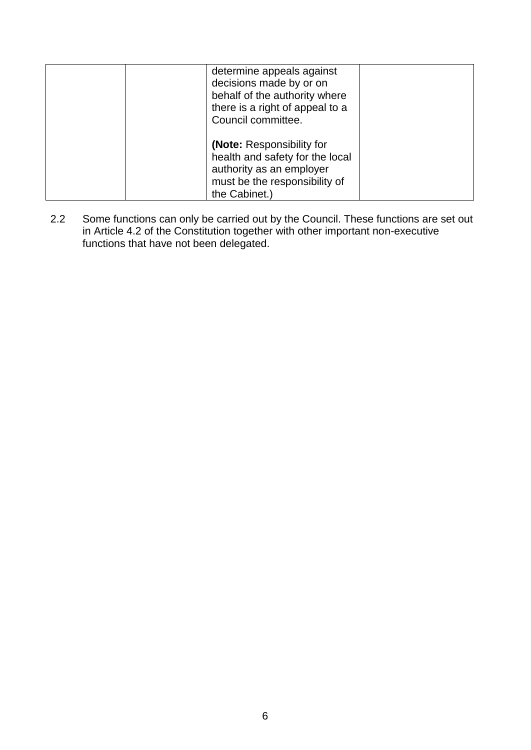| determine appeals against<br>decisions made by or on<br>behalf of the authority where<br>there is a right of appeal to a<br>Council committee.    |  |
|---------------------------------------------------------------------------------------------------------------------------------------------------|--|
| <b>(Note: Responsibility for</b><br>health and safety for the local<br>authority as an employer<br>must be the responsibility of<br>the Cabinet.) |  |

2.2 Some functions can only be carried out by the Council. These functions are set out in Article 4.2 of the Constitution together with other important non-executive functions that have not been delegated.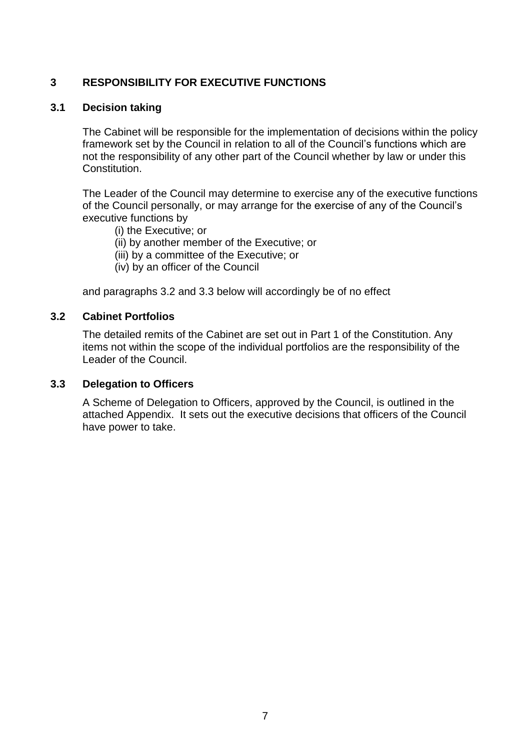#### **3 RESPONSIBILITY FOR EXECUTIVE FUNCTIONS**

#### **3.1 Decision taking**

The Cabinet will be responsible for the implementation of decisions within the policy framework set by the Council in relation to all of the Council's functions which are not the responsibility of any other part of the Council whether by law or under this Constitution.

The Leader of the Council may determine to exercise any of the executive functions of the Council personally, or may arrange for the exercise of any of the Council's executive functions by

- (i) the Executive; or
- (ii) by another member of the Executive; or
- (iii) by a committee of the Executive; or
- (iv) by an officer of the Council

and paragraphs 3.2 and 3.3 below will accordingly be of no effect

#### **3.2 Cabinet Portfolios**

The detailed remits of the Cabinet are set out in Part 1 of the Constitution. Any items not within the scope of the individual portfolios are the responsibility of the Leader of the Council.

#### **3.3 Delegation to Officers**

A Scheme of Delegation to Officers, approved by the Council, is outlined in the attached Appendix. It sets out the executive decisions that officers of the Council have power to take.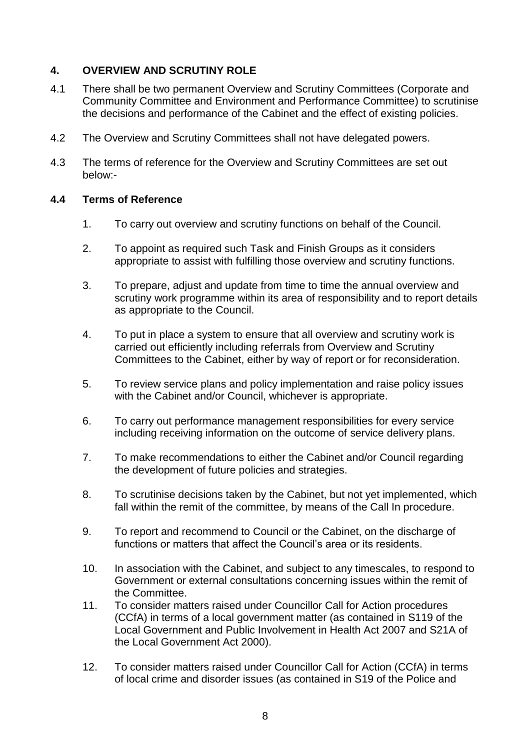## **4. OVERVIEW AND SCRUTINY ROLE**

- 4.1 There shall be two permanent Overview and Scrutiny Committees (Corporate and Community Committee and Environment and Performance Committee) to scrutinise the decisions and performance of the Cabinet and the effect of existing policies.
- 4.2 The Overview and Scrutiny Committees shall not have delegated powers.
- 4.3 The terms of reference for the Overview and Scrutiny Committees are set out below:-

### **4.4 Terms of Reference**

- 1. To carry out overview and scrutiny functions on behalf of the Council.
- 2. To appoint as required such Task and Finish Groups as it considers appropriate to assist with fulfilling those overview and scrutiny functions.
- 3. To prepare, adjust and update from time to time the annual overview and scrutiny work programme within its area of responsibility and to report details as appropriate to the Council.
- 4. To put in place a system to ensure that all overview and scrutiny work is carried out efficiently including referrals from Overview and Scrutiny Committees to the Cabinet, either by way of report or for reconsideration.
- 5. To review service plans and policy implementation and raise policy issues with the Cabinet and/or Council, whichever is appropriate.
- 6. To carry out performance management responsibilities for every service including receiving information on the outcome of service delivery plans.
- 7. To make recommendations to either the Cabinet and/or Council regarding the development of future policies and strategies.
- 8. To scrutinise decisions taken by the Cabinet, but not yet implemented, which fall within the remit of the committee, by means of the Call In procedure.
- 9. To report and recommend to Council or the Cabinet, on the discharge of functions or matters that affect the Council's area or its residents.
- 10. In association with the Cabinet, and subject to any timescales, to respond to Government or external consultations concerning issues within the remit of the Committee.
- 11. To consider matters raised under Councillor Call for Action procedures (CCfA) in terms of a local government matter (as contained in S119 of the Local Government and Public Involvement in Health Act 2007 and S21A of the Local Government Act 2000).
- 12. To consider matters raised under Councillor Call for Action (CCfA) in terms of local crime and disorder issues (as contained in S19 of the Police and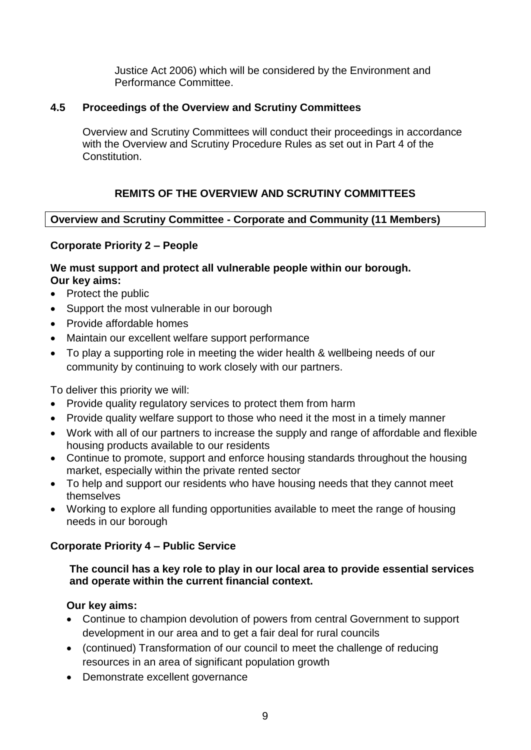Justice Act 2006) which will be considered by the Environment and Performance Committee.

#### **4.5 Proceedings of the Overview and Scrutiny Committees**

Overview and Scrutiny Committees will conduct their proceedings in accordance with the Overview and Scrutiny Procedure Rules as set out in Part 4 of the Constitution.

# **REMITS OF THE OVERVIEW AND SCRUTINY COMMITTEES**

#### **Overview and Scrutiny Committee - Corporate and Community (11 Members)**

#### **Corporate Priority 2 – People**

#### **We must support and protect all vulnerable people within our borough. Our key aims:**

- Protect the public
- Support the most vulnerable in our borough
- Provide affordable homes
- Maintain our excellent welfare support performance
- To play a supporting role in meeting the wider health & wellbeing needs of our community by continuing to work closely with our partners.

To deliver this priority we will:

- Provide quality regulatory services to protect them from harm
- Provide quality welfare support to those who need it the most in a timely manner
- Work with all of our partners to increase the supply and range of affordable and flexible housing products available to our residents
- Continue to promote, support and enforce housing standards throughout the housing market, especially within the private rented sector
- To help and support our residents who have housing needs that they cannot meet themselves
- Working to explore all funding opportunities available to meet the range of housing needs in our borough

#### **Corporate Priority 4 – Public Service**

#### **The council has a key role to play in our local area to provide essential services and operate within the current financial context.**

### **Our key aims:**

- Continue to champion devolution of powers from central Government to support development in our area and to get a fair deal for rural councils
- (continued) Transformation of our council to meet the challenge of reducing resources in an area of significant population growth
- Demonstrate excellent governance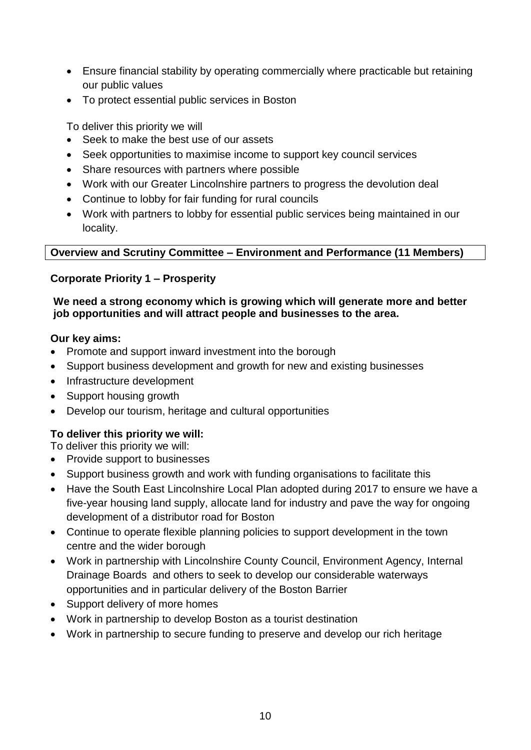- Ensure financial stability by operating commercially where practicable but retaining our public values
- To protect essential public services in Boston

To deliver this priority we will

- Seek to make the best use of our assets
- Seek opportunities to maximise income to support key council services
- Share resources with partners where possible
- Work with our Greater Lincolnshire partners to progress the devolution deal
- Continue to lobby for fair funding for rural councils
- Work with partners to lobby for essential public services being maintained in our locality.

# **Overview and Scrutiny Committee – Environment and Performance (11 Members)**

### **Corporate Priority 1 – Prosperity**

#### **We need a strong economy which is growing which will generate more and better job opportunities and will attract people and businesses to the area.**

### **Our key aims:**

- Promote and support inward investment into the borough
- Support business development and growth for new and existing businesses
- Infrastructure development
- Support housing growth
- Develop our tourism, heritage and cultural opportunities

# **To deliver this priority we will:**

To deliver this priority we will:

- Provide support to businesses
- Support business growth and work with funding organisations to facilitate this
- Have the South East Lincolnshire Local Plan adopted during 2017 to ensure we have a five-year housing land supply, allocate land for industry and pave the way for ongoing development of a distributor road for Boston
- Continue to operate flexible planning policies to support development in the town centre and the wider borough
- Work in partnership with Lincolnshire County Council, Environment Agency, Internal Drainage Boards and others to seek to develop our considerable waterways opportunities and in particular delivery of the Boston Barrier
- Support delivery of more homes
- Work in partnership to develop Boston as a tourist destination
- Work in partnership to secure funding to preserve and develop our rich heritage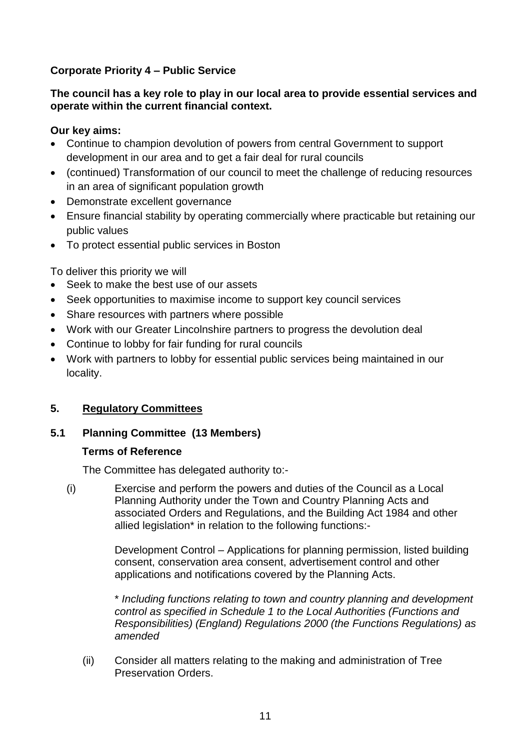# **Corporate Priority 4 – Public Service**

#### **The council has a key role to play in our local area to provide essential services and operate within the current financial context.**

#### **Our key aims:**

- Continue to champion devolution of powers from central Government to support development in our area and to get a fair deal for rural councils
- (continued) Transformation of our council to meet the challenge of reducing resources in an area of significant population growth
- Demonstrate excellent governance
- Ensure financial stability by operating commercially where practicable but retaining our public values
- To protect essential public services in Boston

To deliver this priority we will

- Seek to make the best use of our assets
- Seek opportunities to maximise income to support key council services
- Share resources with partners where possible
- Work with our Greater Lincolnshire partners to progress the devolution deal
- Continue to lobby for fair funding for rural councils
- Work with partners to lobby for essential public services being maintained in our locality.

### **5. Regulatory Committees**

### **5.1 Planning Committee (13 Members)**

#### **Terms of Reference**

The Committee has delegated authority to:-

(i) Exercise and perform the powers and duties of the Council as a Local Planning Authority under the Town and Country Planning Acts and associated Orders and Regulations, and the Building Act 1984 and other allied legislation\* in relation to the following functions:-

> Development Control – Applications for planning permission, listed building consent, conservation area consent, advertisement control and other applications and notifications covered by the Planning Acts.

\* *Including functions relating to town and country planning and development control as specified in Schedule 1 to the Local Authorities (Functions and Responsibilities) (England) Regulations 2000 (the Functions Regulations) as amended*

(ii) Consider all matters relating to the making and administration of Tree Preservation Orders.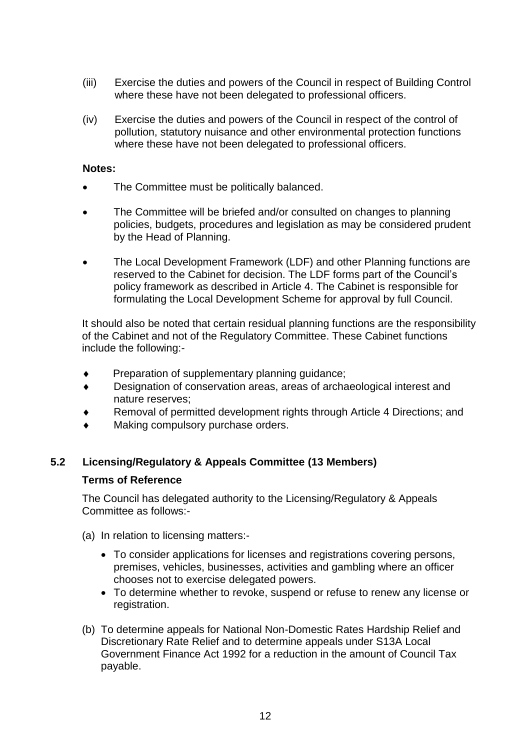- (iii) Exercise the duties and powers of the Council in respect of Building Control where these have not been delegated to professional officers.
- (iv) Exercise the duties and powers of the Council in respect of the control of pollution, statutory nuisance and other environmental protection functions where these have not been delegated to professional officers.

#### **Notes:**

- The Committee must be politically balanced.
- The Committee will be briefed and/or consulted on changes to planning policies, budgets, procedures and legislation as may be considered prudent by the Head of Planning.
- The Local Development Framework (LDF) and other Planning functions are reserved to the Cabinet for decision. The LDF forms part of the Council's policy framework as described in Article 4. The Cabinet is responsible for formulating the Local Development Scheme for approval by full Council.

It should also be noted that certain residual planning functions are the responsibility of the Cabinet and not of the Regulatory Committee. These Cabinet functions include the following:-

- Preparation of supplementary planning guidance;
- Designation of conservation areas, areas of archaeological interest and nature reserves;
- Removal of permitted development rights through Article 4 Directions; and
- Making compulsory purchase orders.

### **5.2 Licensing/Regulatory & Appeals Committee (13 Members)**

#### **Terms of Reference**

The Council has delegated authority to the Licensing/Regulatory & Appeals Committee as follows:-

- (a) In relation to licensing matters:-
	- To consider applications for licenses and registrations covering persons, premises, vehicles, businesses, activities and gambling where an officer chooses not to exercise delegated powers.
	- To determine whether to revoke, suspend or refuse to renew any license or registration.
- (b) To determine appeals for National Non-Domestic Rates Hardship Relief and Discretionary Rate Relief and to determine appeals under S13A Local Government Finance Act 1992 for a reduction in the amount of Council Tax payable.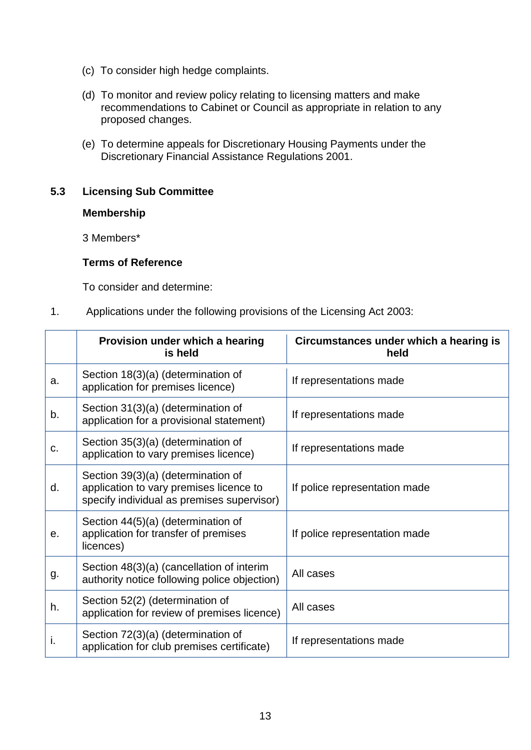- (c) To consider high hedge complaints.
- (d) To monitor and review policy relating to licensing matters and make recommendations to Cabinet or Council as appropriate in relation to any proposed changes.
- (e) To determine appeals for Discretionary Housing Payments under the Discretionary Financial Assistance Regulations 2001.

#### **5.3 Licensing Sub Committee**

#### **Membership**

3 Members\*

#### **Terms of Reference**

To consider and determine:

1. Applications under the following provisions of the Licensing Act 2003:

|    | Provision under which a hearing<br>is held                                                                                  | Circumstances under which a hearing is<br>held |
|----|-----------------------------------------------------------------------------------------------------------------------------|------------------------------------------------|
| a. | Section 18(3)(a) (determination of<br>application for premises licence)                                                     | If representations made                        |
| b. | Section 31(3)(a) (determination of<br>application for a provisional statement)                                              | If representations made                        |
| C. | Section 35(3)(a) (determination of<br>application to vary premises licence)                                                 | If representations made                        |
| d. | Section 39(3)(a) (determination of<br>application to vary premises licence to<br>specify individual as premises supervisor) | If police representation made                  |
| е. | Section 44(5)(a) (determination of<br>application for transfer of premises<br>licences)                                     | If police representation made                  |
| g. | Section 48(3)(a) (cancellation of interim<br>authority notice following police objection)                                   | All cases                                      |
| h. | Section 52(2) (determination of<br>application for review of premises licence)                                              | All cases                                      |
| т. | Section 72(3)(a) (determination of<br>application for club premises certificate)                                            | If representations made                        |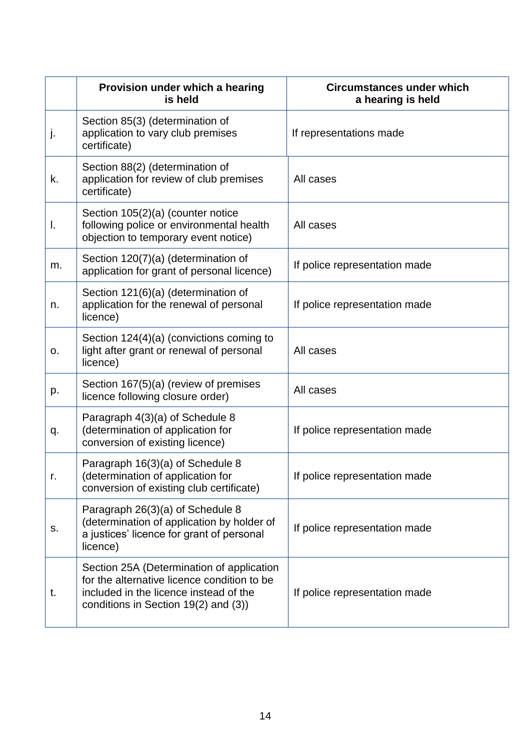|    | Provision under which a hearing<br>is held                                                                                                                                 | <b>Circumstances under which</b><br>a hearing is held |
|----|----------------------------------------------------------------------------------------------------------------------------------------------------------------------------|-------------------------------------------------------|
| j. | Section 85(3) (determination of<br>application to vary club premises<br>certificate)                                                                                       | If representations made                               |
| k. | Section 88(2) (determination of<br>application for review of club premises<br>certificate)                                                                                 | All cases                                             |
| Ι. | Section 105(2)(a) (counter notice<br>following police or environmental health<br>objection to temporary event notice)                                                      | All cases                                             |
| m. | Section 120(7)(a) (determination of<br>application for grant of personal licence)                                                                                          | If police representation made                         |
| n. | Section 121(6)(a) (determination of<br>application for the renewal of personal<br>licence)                                                                                 | If police representation made                         |
| 0. | Section 124(4)(a) (convictions coming to<br>light after grant or renewal of personal<br>licence)                                                                           | All cases                                             |
| p. | Section 167(5)(a) (review of premises<br>licence following closure order)                                                                                                  | All cases                                             |
| q. | Paragraph 4(3)(a) of Schedule 8<br>(determination of application for<br>conversion of existing licence)                                                                    | If police representation made                         |
| г. | Paragraph 16(3)(a) of Schedule 8<br>(determination of application for<br>conversion of existing club certificate)                                                          | If police representation made                         |
| S. | Paragraph 26(3)(a) of Schedule 8<br>(determination of application by holder of<br>a justices' licence for grant of personal<br>licence)                                    | If police representation made                         |
| t. | Section 25A (Determination of application<br>for the alternative licence condition to be<br>included in the licence instead of the<br>conditions in Section 19(2) and (3)) | If police representation made                         |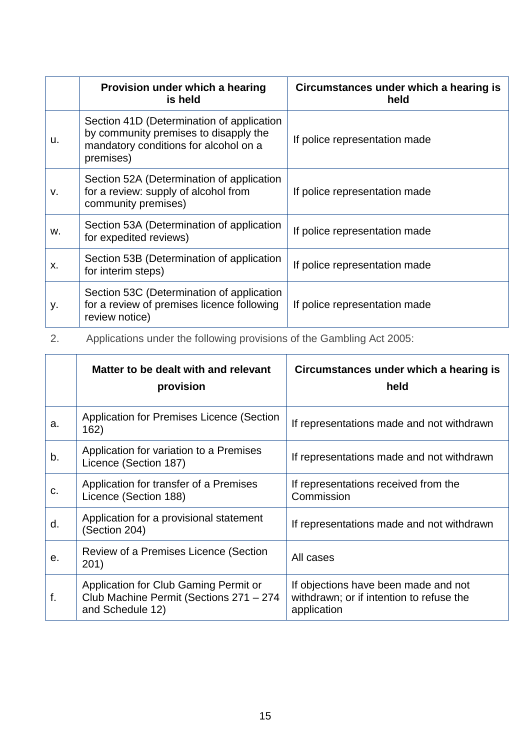|    | Provision under which a hearing<br>is held                                                                                               | Circumstances under which a hearing is<br>held |
|----|------------------------------------------------------------------------------------------------------------------------------------------|------------------------------------------------|
| u. | Section 41D (Determination of application<br>by community premises to disapply the<br>mandatory conditions for alcohol on a<br>premises) | If police representation made                  |
| v. | Section 52A (Determination of application<br>for a review: supply of alcohol from<br>community premises)                                 | If police representation made                  |
| w. | Section 53A (Determination of application<br>for expedited reviews)                                                                      | If police representation made                  |
| х. | Section 53B (Determination of application<br>for interim steps)                                                                          | If police representation made                  |
| у. | Section 53C (Determination of application<br>for a review of premises licence following<br>review notice)                                | If police representation made                  |

2. Applications under the following provisions of the Gambling Act 2005:

|    | Matter to be dealt with and relevant<br>provision                                                    | Circumstances under which a hearing is<br>held                                                  |
|----|------------------------------------------------------------------------------------------------------|-------------------------------------------------------------------------------------------------|
| a. | Application for Premises Licence (Section<br>162)                                                    | If representations made and not withdrawn                                                       |
| b. | Application for variation to a Premises<br>Licence (Section 187)                                     | If representations made and not withdrawn                                                       |
| c. | Application for transfer of a Premises<br>Licence (Section 188)                                      | If representations received from the<br>Commission                                              |
| d. | Application for a provisional statement<br>(Section 204)                                             | If representations made and not withdrawn                                                       |
| е. | Review of a Premises Licence (Section<br>201)                                                        | All cases                                                                                       |
| f. | Application for Club Gaming Permit or<br>Club Machine Permit (Sections 271 - 274<br>and Schedule 12) | If objections have been made and not<br>withdrawn; or if intention to refuse the<br>application |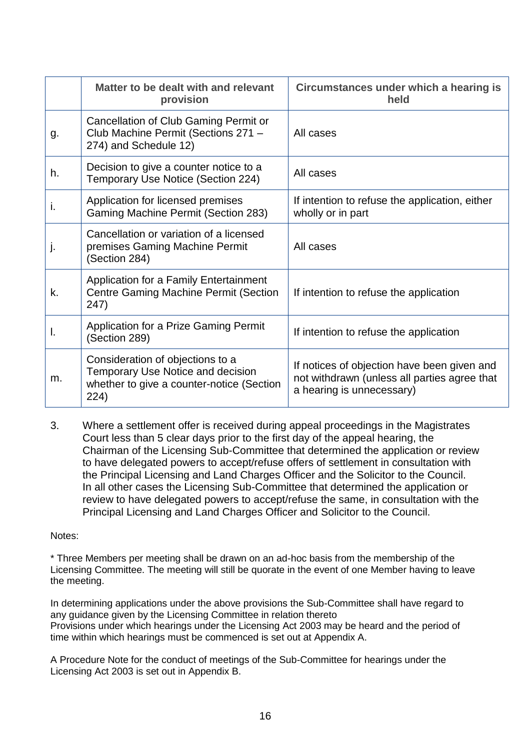|    | Matter to be dealt with and relevant<br>provision                                                                                 | Circumstances under which a hearing is<br>held                                                                           |
|----|-----------------------------------------------------------------------------------------------------------------------------------|--------------------------------------------------------------------------------------------------------------------------|
| g. | Cancellation of Club Gaming Permit or<br>Club Machine Permit (Sections 271 -<br>274) and Schedule 12)                             | All cases                                                                                                                |
| h. | Decision to give a counter notice to a<br>Temporary Use Notice (Section 224)                                                      | All cases                                                                                                                |
| i. | Application for licensed premises<br><b>Gaming Machine Permit (Section 283)</b>                                                   | If intention to refuse the application, either<br>wholly or in part                                                      |
|    | Cancellation or variation of a licensed<br>premises Gaming Machine Permit<br>(Section 284)                                        | All cases                                                                                                                |
| k. | Application for a Family Entertainment<br><b>Centre Gaming Machine Permit (Section</b><br>247)                                    | If intention to refuse the application                                                                                   |
| ı. | Application for a Prize Gaming Permit<br>(Section 289)                                                                            | If intention to refuse the application                                                                                   |
| m. | Consideration of objections to a<br><b>Temporary Use Notice and decision</b><br>whether to give a counter-notice (Section<br>224) | If notices of objection have been given and<br>not withdrawn (unless all parties agree that<br>a hearing is unnecessary) |

3. Where a settlement offer is received during appeal proceedings in the Magistrates Court less than 5 clear days prior to the first day of the appeal hearing, the Chairman of the Licensing Sub-Committee that determined the application or review to have delegated powers to accept/refuse offers of settlement in consultation with the Principal Licensing and Land Charges Officer and the Solicitor to the Council. In all other cases the Licensing Sub-Committee that determined the application or review to have delegated powers to accept/refuse the same, in consultation with the Principal Licensing and Land Charges Officer and Solicitor to the Council.

#### Notes:

\* Three Members per meeting shall be drawn on an ad-hoc basis from the membership of the Licensing Committee. The meeting will still be quorate in the event of one Member having to leave the meeting.

In determining applications under the above provisions the Sub-Committee shall have regard to any guidance given by the Licensing Committee in relation thereto Provisions under which hearings under the Licensing Act 2003 may be heard and the period of time within which hearings must be commenced is set out at Appendix A.

A Procedure Note for the conduct of meetings of the Sub-Committee for hearings under the Licensing Act 2003 is set out in Appendix B.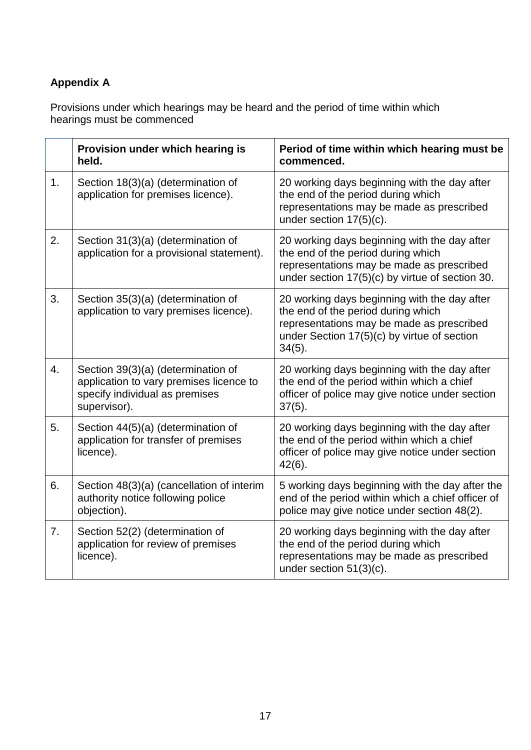# **Appendix A**

Provisions under which hearings may be heard and the period of time within which hearings must be commenced

|    | Provision under which hearing is<br>held.                                                                                       | Period of time within which hearing must be<br>commenced.                                                                                                                                   |
|----|---------------------------------------------------------------------------------------------------------------------------------|---------------------------------------------------------------------------------------------------------------------------------------------------------------------------------------------|
| 1. | Section 18(3)(a) (determination of<br>application for premises licence).                                                        | 20 working days beginning with the day after<br>the end of the period during which<br>representations may be made as prescribed<br>under section $17(5)(c)$ .                               |
| 2. | Section 31(3)(a) (determination of<br>application for a provisional statement).                                                 | 20 working days beginning with the day after<br>the end of the period during which<br>representations may be made as prescribed<br>under section 17(5)(c) by virtue of section 30.          |
| 3. | Section 35(3)(a) (determination of<br>application to vary premises licence).                                                    | 20 working days beginning with the day after<br>the end of the period during which<br>representations may be made as prescribed<br>under Section 17(5)(c) by virtue of section<br>$34(5)$ . |
| 4. | Section 39(3)(a) (determination of<br>application to vary premises licence to<br>specify individual as premises<br>supervisor). | 20 working days beginning with the day after<br>the end of the period within which a chief<br>officer of police may give notice under section<br>$37(5)$ .                                  |
| 5. | Section 44(5)(a) (determination of<br>application for transfer of premises<br>licence).                                         | 20 working days beginning with the day after<br>the end of the period within which a chief<br>officer of police may give notice under section<br>$42(6)$ .                                  |
| 6. | Section 48(3)(a) (cancellation of interim<br>authority notice following police<br>objection).                                   | 5 working days beginning with the day after the<br>end of the period within which a chief officer of<br>police may give notice under section 48(2).                                         |
| 7. | Section 52(2) (determination of<br>application for review of premises<br>licence).                                              | 20 working days beginning with the day after<br>the end of the period during which<br>representations may be made as prescribed<br>under section 51(3)(c).                                  |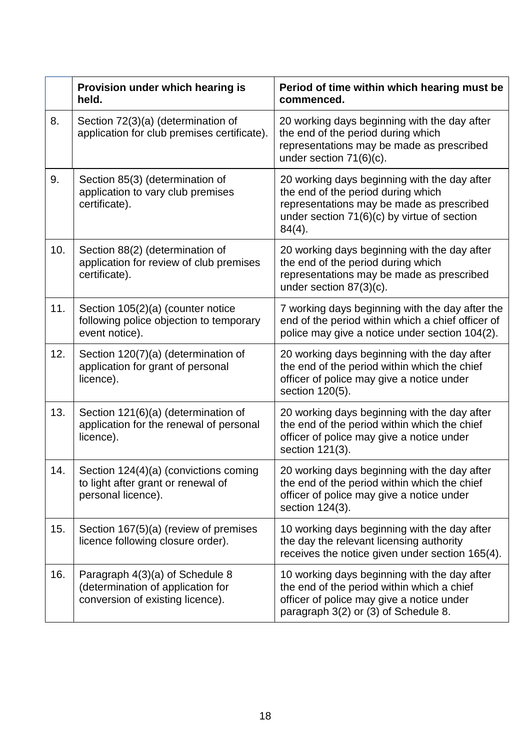|     | Provision under which hearing is<br>held.                                                                | Period of time within which hearing must be<br>commenced.                                                                                                                                     |
|-----|----------------------------------------------------------------------------------------------------------|-----------------------------------------------------------------------------------------------------------------------------------------------------------------------------------------------|
| 8.  | Section 72(3)(a) (determination of<br>application for club premises certificate).                        | 20 working days beginning with the day after<br>the end of the period during which<br>representations may be made as prescribed<br>under section $71(6)(c)$ .                                 |
| 9.  | Section 85(3) (determination of<br>application to vary club premises<br>certificate).                    | 20 working days beginning with the day after<br>the end of the period during which<br>representations may be made as prescribed<br>under section $71(6)(c)$ by virtue of section<br>$84(4)$ . |
| 10. | Section 88(2) (determination of<br>application for review of club premises<br>certificate).              | 20 working days beginning with the day after<br>the end of the period during which<br>representations may be made as prescribed<br>under section $87(3)(c)$ .                                 |
| 11. | Section 105(2)(a) (counter notice<br>following police objection to temporary<br>event notice).           | 7 working days beginning with the day after the<br>end of the period within which a chief officer of<br>police may give a notice under section 104(2).                                        |
| 12. | Section 120(7)(a) (determination of<br>application for grant of personal<br>licence).                    | 20 working days beginning with the day after<br>the end of the period within which the chief<br>officer of police may give a notice under<br>section 120(5).                                  |
| 13. | Section 121(6)(a) (determination of<br>application for the renewal of personal<br>licence).              | 20 working days beginning with the day after<br>the end of the period within which the chief<br>officer of police may give a notice under<br>section 121(3).                                  |
| 14. | Section 124(4)(a) (convictions coming<br>to light after grant or renewal of<br>personal licence).        | 20 working days beginning with the day after<br>the end of the period within which the chief<br>officer of police may give a notice under<br>section 124(3).                                  |
| 15. | Section 167(5)(a) (review of premises<br>licence following closure order).                               | 10 working days beginning with the day after<br>the day the relevant licensing authority<br>receives the notice given under section 165(4).                                                   |
| 16. | Paragraph 4(3)(a) of Schedule 8<br>(determination of application for<br>conversion of existing licence). | 10 working days beginning with the day after<br>the end of the period within which a chief<br>officer of police may give a notice under<br>paragraph 3(2) or (3) of Schedule 8.               |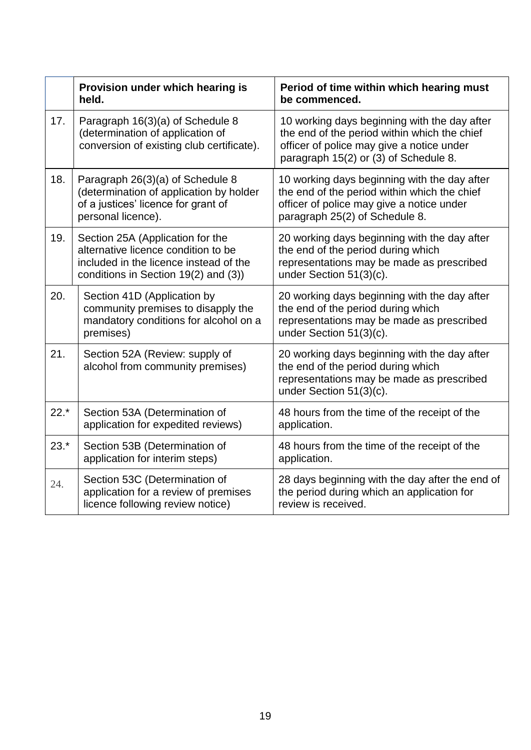|        | Provision under which hearing is<br>held.                                                                                                                 | Period of time within which hearing must<br>be commenced.                                                                                                                          |
|--------|-----------------------------------------------------------------------------------------------------------------------------------------------------------|------------------------------------------------------------------------------------------------------------------------------------------------------------------------------------|
| 17.    | Paragraph 16(3)(a) of Schedule 8<br>(determination of application of<br>conversion of existing club certificate).                                         | 10 working days beginning with the day after<br>the end of the period within which the chief<br>officer of police may give a notice under<br>paragraph 15(2) or (3) of Schedule 8. |
| 18.    | Paragraph 26(3)(a) of Schedule 8<br>(determination of application by holder<br>of a justices' licence for grant of<br>personal licence).                  | 10 working days beginning with the day after<br>the end of the period within which the chief<br>officer of police may give a notice under<br>paragraph 25(2) of Schedule 8.        |
| 19.    | Section 25A (Application for the<br>alternative licence condition to be<br>included in the licence instead of the<br>conditions in Section 19(2) and (3)) | 20 working days beginning with the day after<br>the end of the period during which<br>representations may be made as prescribed<br>under Section 51(3)(c).                         |
| 20.    | Section 41D (Application by<br>community premises to disapply the<br>mandatory conditions for alcohol on a<br>premises)                                   | 20 working days beginning with the day after<br>the end of the period during which<br>representations may be made as prescribed<br>under Section 51(3)(c).                         |
| 21.    | Section 52A (Review: supply of<br>alcohol from community premises)                                                                                        | 20 working days beginning with the day after<br>the end of the period during which<br>representations may be made as prescribed<br>under Section 51(3)(c).                         |
| $22.*$ | Section 53A (Determination of<br>application for expedited reviews)                                                                                       | 48 hours from the time of the receipt of the<br>application.                                                                                                                       |
| $23.*$ | Section 53B (Determination of<br>application for interim steps)                                                                                           | 48 hours from the time of the receipt of the<br>application.                                                                                                                       |
| 24.    | Section 53C (Determination of<br>application for a review of premises<br>licence following review notice)                                                 | 28 days beginning with the day after the end of<br>the period during which an application for<br>review is received.                                                               |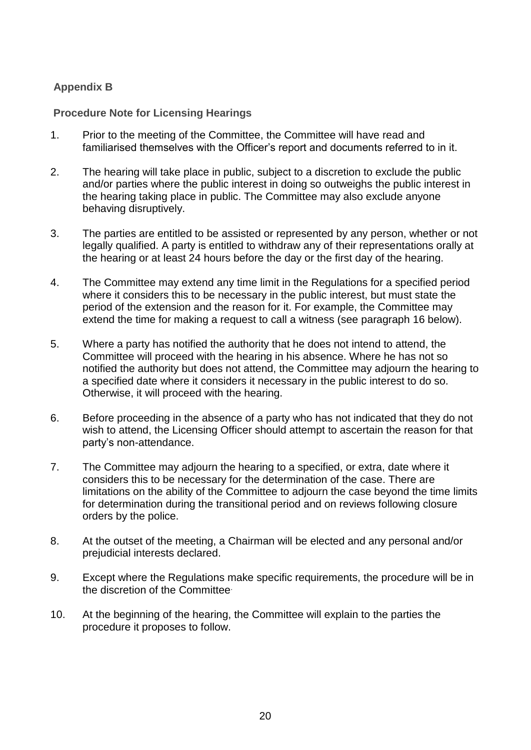# **Appendix B**

**Procedure Note for Licensing Hearings**

- 1. Prior to the meeting of the Committee, the Committee will have read and familiarised themselves with the Officer's report and documents referred to in it.
- 2. The hearing will take place in public, subject to a discretion to exclude the public and/or parties where the public interest in doing so outweighs the public interest in the hearing taking place in public. The Committee may also exclude anyone behaving disruptively.
- 3. The parties are entitled to be assisted or represented by any person, whether or not legally qualified. A party is entitled to withdraw any of their representations orally at the hearing or at least 24 hours before the day or the first day of the hearing.
- 4. The Committee may extend any time limit in the Regulations for a specified period where it considers this to be necessary in the public interest, but must state the period of the extension and the reason for it. For example, the Committee may extend the time for making a request to call a witness (see paragraph 16 below).
- 5. Where a party has notified the authority that he does not intend to attend, the Committee will proceed with the hearing in his absence. Where he has not so notified the authority but does not attend, the Committee may adjourn the hearing to a specified date where it considers it necessary in the public interest to do so. Otherwise, it will proceed with the hearing.
- 6. Before proceeding in the absence of a party who has not indicated that they do not wish to attend, the Licensing Officer should attempt to ascertain the reason for that party's non-attendance.
- 7. The Committee may adjourn the hearing to a specified, or extra, date where it considers this to be necessary for the determination of the case. There are limitations on the ability of the Committee to adjourn the case beyond the time limits for determination during the transitional period and on reviews following closure orders by the police.
- 8. At the outset of the meeting, a Chairman will be elected and any personal and/or prejudicial interests declared.
- 9. Except where the Regulations make specific requirements, the procedure will be in the discretion of the Committee.
- 10. At the beginning of the hearing, the Committee will explain to the parties the procedure it proposes to follow.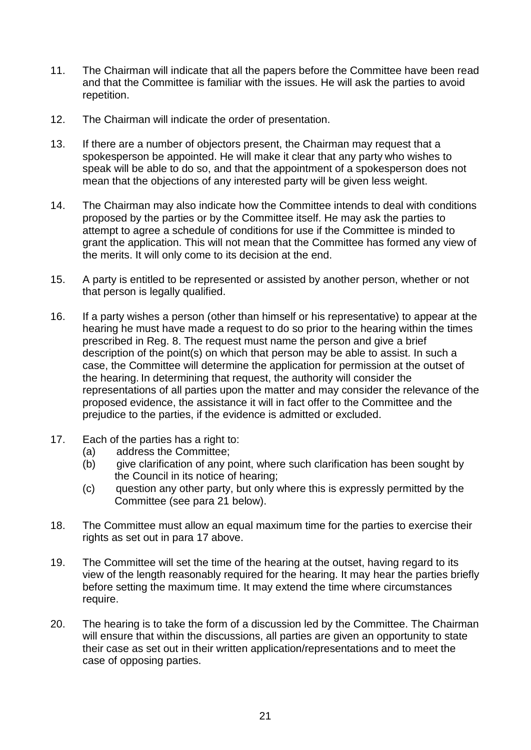- 11. The Chairman will indicate that all the papers before the Committee have been read and that the Committee is familiar with the issues. He will ask the parties to avoid repetition.
- 12. The Chairman will indicate the order of presentation.
- 13. If there are a number of objectors present, the Chairman may request that a spokesperson be appointed. He will make it clear that any party who wishes to speak will be able to do so, and that the appointment of a spokesperson does not mean that the objections of any interested party will be given less weight.
- 14. The Chairman may also indicate how the Committee intends to deal with conditions proposed by the parties or by the Committee itself. He may ask the parties to attempt to agree a schedule of conditions for use if the Committee is minded to grant the application. This will not mean that the Committee has formed any view of the merits. It will only come to its decision at the end.
- 15. A party is entitled to be represented or assisted by another person, whether or not that person is legally qualified.
- 16. If a party wishes a person (other than himself or his representative) to appear at the hearing he must have made a request to do so prior to the hearing within the times prescribed in Reg. 8. The request must name the person and give a brief description of the point(s) on which that person may be able to assist. In such a case, the Committee will determine the application for permission at the outset of the hearing. In determining that request, the authority will consider the representations of all parties upon the matter and may consider the relevance of the proposed evidence, the assistance it will in fact offer to the Committee and the prejudice to the parties, if the evidence is admitted or excluded.
- 17. Each of the parties has a right to:
	- (a) address the Committee;
	- (b) give clarification of any point, where such clarification has been sought by the Council in its notice of hearing;
	- (c) question any other party, but only where this is expressly permitted by the Committee (see para 21 below).
- 18. The Committee must allow an equal maximum time for the parties to exercise their rights as set out in para 17 above.
- 19. The Committee will set the time of the hearing at the outset, having regard to its view of the length reasonably required for the hearing. It may hear the parties briefly before setting the maximum time. It may extend the time where circumstances require.
- 20. The hearing is to take the form of a discussion led by the Committee. The Chairman will ensure that within the discussions, all parties are given an opportunity to state their case as set out in their written application/representations and to meet the case of opposing parties.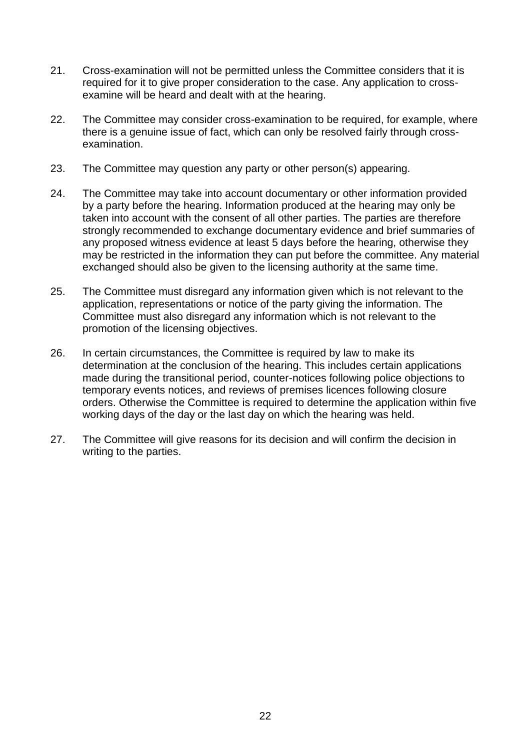- 21. Cross-examination will not be permitted unless the Committee considers that it is required for it to give proper consideration to the case. Any application to crossexamine will be heard and dealt with at the hearing.
- 22. The Committee may consider cross-examination to be required, for example, where there is a genuine issue of fact, which can only be resolved fairly through crossexamination.
- 23. The Committee may question any party or other person(s) appearing.
- 24. The Committee may take into account documentary or other information provided by a party before the hearing. Information produced at the hearing may only be taken into account with the consent of all other parties. The parties are therefore strongly recommended to exchange documentary evidence and brief summaries of any proposed witness evidence at least 5 days before the hearing, otherwise they may be restricted in the information they can put before the committee. Any material exchanged should also be given to the licensing authority at the same time.
- 25. The Committee must disregard any information given which is not relevant to the application, representations or notice of the party giving the information. The Committee must also disregard any information which is not relevant to the promotion of the licensing objectives.
- 26. In certain circumstances, the Committee is required by law to make its determination at the conclusion of the hearing. This includes certain applications made during the transitional period, counter-notices following police objections to temporary events notices, and reviews of premises licences following closure orders. Otherwise the Committee is required to determine the application within five working days of the day or the last day on which the hearing was held.
- 27. The Committee will give reasons for its decision and will confirm the decision in writing to the parties.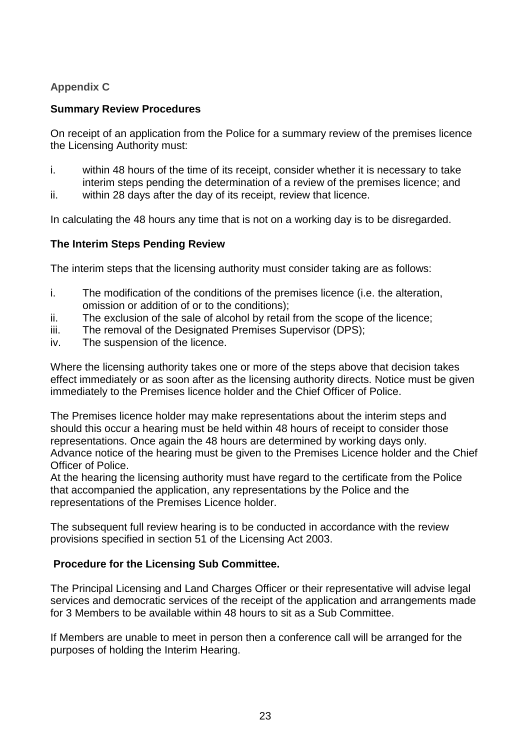# **Appendix C**

### **Summary Review Procedures**

On receipt of an application from the Police for a summary review of the premises licence the Licensing Authority must:

- i. within 48 hours of the time of its receipt, consider whether it is necessary to take interim steps pending the determination of a review of the premises licence; and
- ii. within 28 days after the day of its receipt, review that licence.

In calculating the 48 hours any time that is not on a working day is to be disregarded.

#### **The Interim Steps Pending Review**

The interim steps that the licensing authority must consider taking are as follows:

- i. The modification of the conditions of the premises licence (i.e. the alteration, omission or addition of or to the conditions);
- ii. The exclusion of the sale of alcohol by retail from the scope of the licence;
- iii. The removal of the Designated Premises Supervisor (DPS);
- iv. The suspension of the licence.

Where the licensing authority takes one or more of the steps above that decision takes effect immediately or as soon after as the licensing authority directs. Notice must be given immediately to the Premises licence holder and the Chief Officer of Police.

The Premises licence holder may make representations about the interim steps and should this occur a hearing must be held within 48 hours of receipt to consider those representations. Once again the 48 hours are determined by working days only. Advance notice of the hearing must be given to the Premises Licence holder and the Chief Officer of Police.

At the hearing the licensing authority must have regard to the certificate from the Police that accompanied the application, any representations by the Police and the representations of the Premises Licence holder.

The subsequent full review hearing is to be conducted in accordance with the review provisions specified in section 51 of the Licensing Act 2003.

#### **Procedure for the Licensing Sub Committee.**

The Principal Licensing and Land Charges Officer or their representative will advise legal services and democratic services of the receipt of the application and arrangements made for 3 Members to be available within 48 hours to sit as a Sub Committee.

If Members are unable to meet in person then a conference call will be arranged for the purposes of holding the Interim Hearing.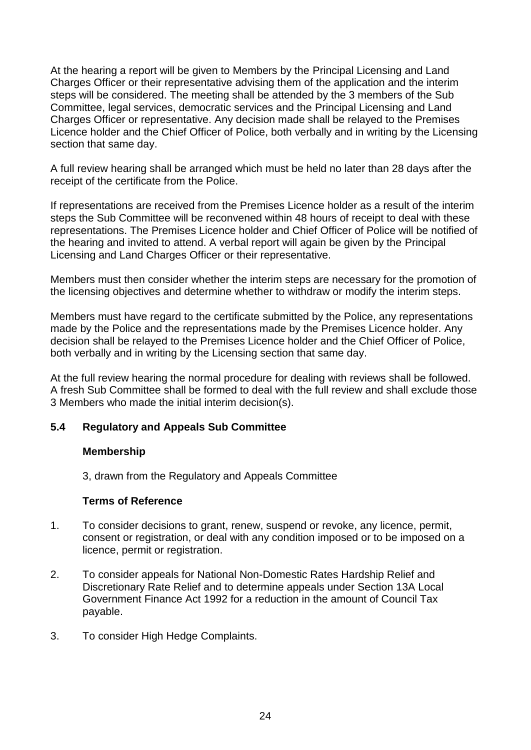At the hearing a report will be given to Members by the Principal Licensing and Land Charges Officer or their representative advising them of the application and the interim steps will be considered. The meeting shall be attended by the 3 members of the Sub Committee, legal services, democratic services and the Principal Licensing and Land Charges Officer or representative. Any decision made shall be relayed to the Premises Licence holder and the Chief Officer of Police, both verbally and in writing by the Licensing section that same day.

A full review hearing shall be arranged which must be held no later than 28 days after the receipt of the certificate from the Police.

If representations are received from the Premises Licence holder as a result of the interim steps the Sub Committee will be reconvened within 48 hours of receipt to deal with these representations. The Premises Licence holder and Chief Officer of Police will be notified of the hearing and invited to attend. A verbal report will again be given by the Principal Licensing and Land Charges Officer or their representative.

Members must then consider whether the interim steps are necessary for the promotion of the licensing objectives and determine whether to withdraw or modify the interim steps.

Members must have regard to the certificate submitted by the Police, any representations made by the Police and the representations made by the Premises Licence holder. Any decision shall be relayed to the Premises Licence holder and the Chief Officer of Police, both verbally and in writing by the Licensing section that same day.

At the full review hearing the normal procedure for dealing with reviews shall be followed. A fresh Sub Committee shall be formed to deal with the full review and shall exclude those 3 Members who made the initial interim decision(s).

### **5.4 Regulatory and Appeals Sub Committee**

#### **Membership**

3, drawn from the Regulatory and Appeals Committee

#### **Terms of Reference**

- 1. To consider decisions to grant, renew, suspend or revoke, any licence, permit, consent or registration, or deal with any condition imposed or to be imposed on a licence, permit or registration.
- 2. To consider appeals for National Non-Domestic Rates Hardship Relief and Discretionary Rate Relief and to determine appeals under Section 13A Local Government Finance Act 1992 for a reduction in the amount of Council Tax payable.
- 3. To consider High Hedge Complaints.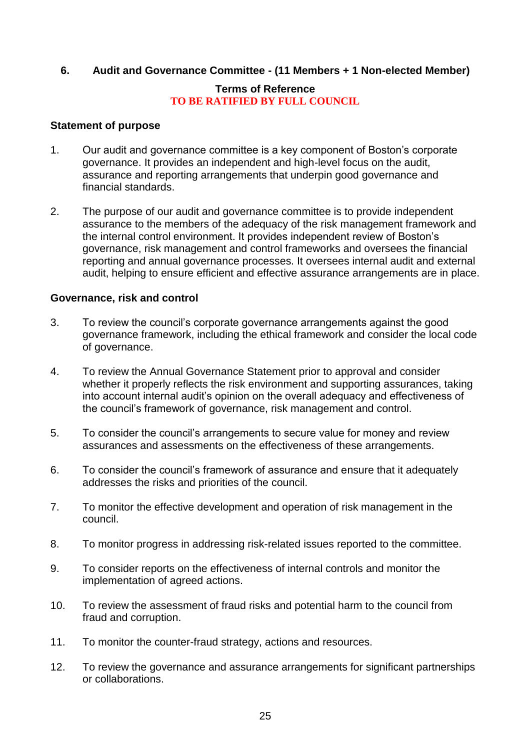#### **6. Audit and Governance Committee - (11 Members + 1 Non-elected Member)**

#### **Terms of Reference TO BE RATIFIED BY FULL COUNCIL**

#### **Statement of purpose**

- 1. Our audit and governance committee is a key component of Boston's corporate governance. It provides an independent and high-level focus on the audit, assurance and reporting arrangements that underpin good governance and financial standards.
- 2. The purpose of our audit and governance committee is to provide independent assurance to the members of the adequacy of the risk management framework and the internal control environment. It provides independent review of Boston's governance, risk management and control frameworks and oversees the financial reporting and annual governance processes. It oversees internal audit and external audit, helping to ensure efficient and effective assurance arrangements are in place.

#### **Governance, risk and control**

- 3. To review the council's corporate governance arrangements against the good governance framework, including the ethical framework and consider the local code of governance.
- 4. To review the Annual Governance Statement prior to approval and consider whether it properly reflects the risk environment and supporting assurances, taking into account internal audit's opinion on the overall adequacy and effectiveness of the council's framework of governance, risk management and control.
- 5. To consider the council's arrangements to secure value for money and review assurances and assessments on the effectiveness of these arrangements.
- 6. To consider the council's framework of assurance and ensure that it adequately addresses the risks and priorities of the council.
- 7. To monitor the effective development and operation of risk management in the council.
- 8. To monitor progress in addressing risk-related issues reported to the committee.
- 9. To consider reports on the effectiveness of internal controls and monitor the implementation of agreed actions.
- 10. To review the assessment of fraud risks and potential harm to the council from fraud and corruption.
- 11. To monitor the counter-fraud strategy, actions and resources.
- 12. To review the governance and assurance arrangements for significant partnerships or collaborations.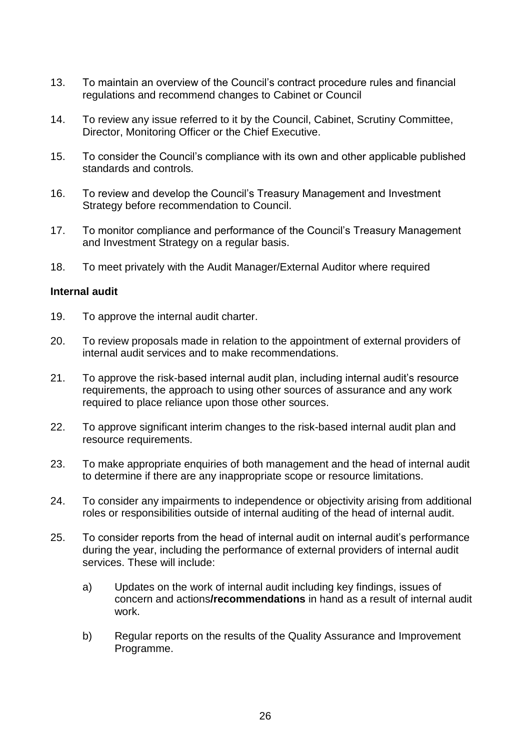- 13. To maintain an overview of the Council's contract procedure rules and financial regulations and recommend changes to Cabinet or Council
- 14. To review any issue referred to it by the Council, Cabinet, Scrutiny Committee, Director, Monitoring Officer or the Chief Executive.
- 15. To consider the Council's compliance with its own and other applicable published standards and controls.
- 16. To review and develop the Council's Treasury Management and Investment Strategy before recommendation to Council.
- 17. To monitor compliance and performance of the Council's Treasury Management and Investment Strategy on a regular basis.
- 18. To meet privately with the Audit Manager/External Auditor where required

#### **Internal audit**

- 19. To approve the internal audit charter.
- 20. To review proposals made in relation to the appointment of external providers of internal audit services and to make recommendations.
- 21. To approve the risk-based internal audit plan, including internal audit's resource requirements, the approach to using other sources of assurance and any work required to place reliance upon those other sources.
- 22. To approve significant interim changes to the risk-based internal audit plan and resource requirements.
- 23. To make appropriate enquiries of both management and the head of internal audit to determine if there are any inappropriate scope or resource limitations.
- 24. To consider any impairments to independence or objectivity arising from additional roles or responsibilities outside of internal auditing of the head of internal audit.
- 25. To consider reports from the head of internal audit on internal audit's performance during the year, including the performance of external providers of internal audit services. These will include:
	- a) Updates on the work of internal audit including key findings, issues of concern and actions**/recommendations** in hand as a result of internal audit work.
	- b) Regular reports on the results of the Quality Assurance and Improvement Programme.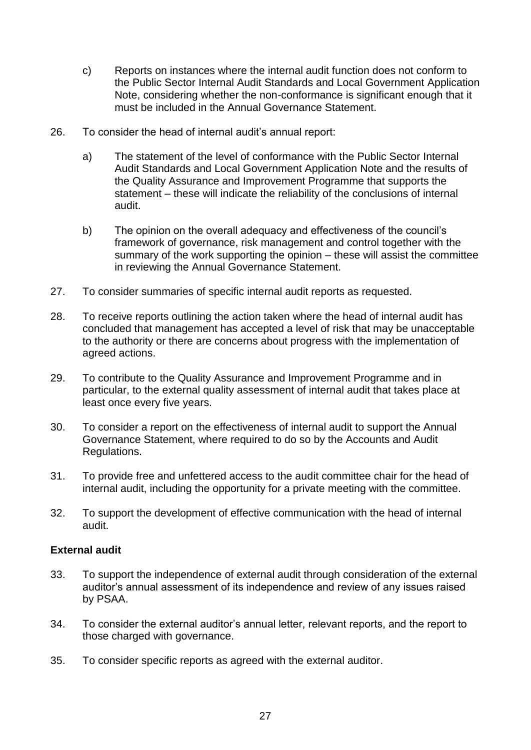- c) Reports on instances where the internal audit function does not conform to the Public Sector Internal Audit Standards and Local Government Application Note, considering whether the non-conformance is significant enough that it must be included in the Annual Governance Statement.
- 26. To consider the head of internal audit's annual report:
	- a) The statement of the level of conformance with the Public Sector Internal Audit Standards and Local Government Application Note and the results of the Quality Assurance and Improvement Programme that supports the statement – these will indicate the reliability of the conclusions of internal audit.
	- b) The opinion on the overall adequacy and effectiveness of the council's framework of governance, risk management and control together with the summary of the work supporting the opinion – these will assist the committee in reviewing the Annual Governance Statement.
- 27. To consider summaries of specific internal audit reports as requested.
- 28. To receive reports outlining the action taken where the head of internal audit has concluded that management has accepted a level of risk that may be unacceptable to the authority or there are concerns about progress with the implementation of agreed actions.
- 29. To contribute to the Quality Assurance and Improvement Programme and in particular, to the external quality assessment of internal audit that takes place at least once every five years.
- 30. To consider a report on the effectiveness of internal audit to support the Annual Governance Statement, where required to do so by the Accounts and Audit Regulations.
- 31. To provide free and unfettered access to the audit committee chair for the head of internal audit, including the opportunity for a private meeting with the committee.
- 32. To support the development of effective communication with the head of internal audit.

#### **External audit**

- 33. To support the independence of external audit through consideration of the external auditor's annual assessment of its independence and review of any issues raised by PSAA.
- 34. To consider the external auditor's annual letter, relevant reports, and the report to those charged with governance.
- 35. To consider specific reports as agreed with the external auditor.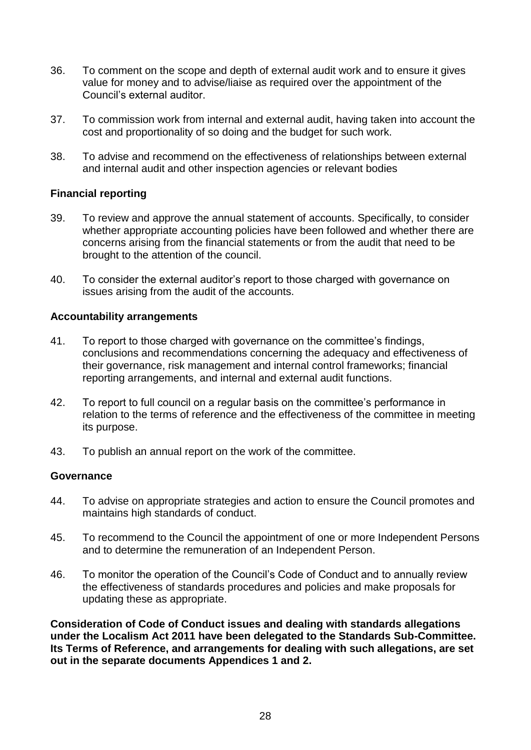- 36. To comment on the scope and depth of external audit work and to ensure it gives value for money and to advise/liaise as required over the appointment of the Council's external auditor.
- 37. To commission work from internal and external audit, having taken into account the cost and proportionality of so doing and the budget for such work.
- 38. To advise and recommend on the effectiveness of relationships between external and internal audit and other inspection agencies or relevant bodies

#### **Financial reporting**

- 39. To review and approve the annual statement of accounts. Specifically, to consider whether appropriate accounting policies have been followed and whether there are concerns arising from the financial statements or from the audit that need to be brought to the attention of the council.
- 40. To consider the external auditor's report to those charged with governance on issues arising from the audit of the accounts.

#### **Accountability arrangements**

- 41. To report to those charged with governance on the committee's findings, conclusions and recommendations concerning the adequacy and effectiveness of their governance, risk management and internal control frameworks; financial reporting arrangements, and internal and external audit functions.
- 42. To report to full council on a regular basis on the committee's performance in relation to the terms of reference and the effectiveness of the committee in meeting its purpose.
- 43. To publish an annual report on the work of the committee.

#### **Governance**

- 44. To advise on appropriate strategies and action to ensure the Council promotes and maintains high standards of conduct.
- 45. To recommend to the Council the appointment of one or more Independent Persons and to determine the remuneration of an Independent Person.
- 46. To monitor the operation of the Council's Code of Conduct and to annually review the effectiveness of standards procedures and policies and make proposals for updating these as appropriate.

**Consideration of Code of Conduct issues and dealing with standards allegations under the Localism Act 2011 have been delegated to the Standards Sub-Committee. Its Terms of Reference, and arrangements for dealing with such allegations, are set out in the separate documents Appendices 1 and 2.**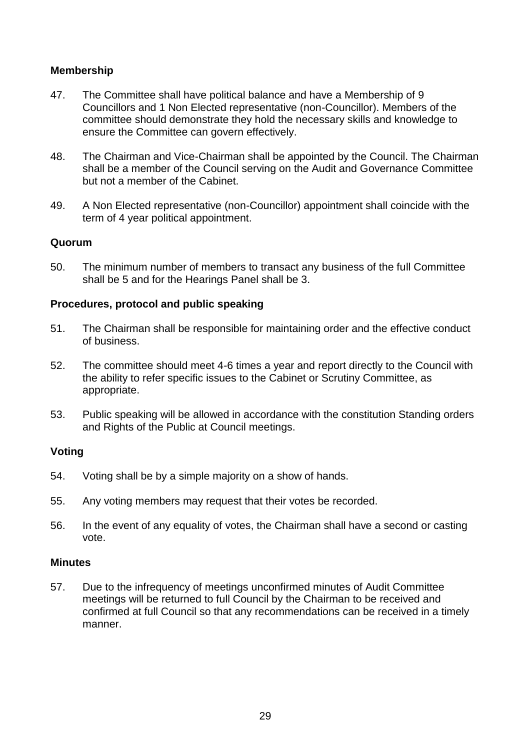#### **Membership**

- 47. The Committee shall have political balance and have a Membership of 9 Councillors and 1 Non Elected representative (non-Councillor). Members of the committee should demonstrate they hold the necessary skills and knowledge to ensure the Committee can govern effectively.
- 48. The Chairman and Vice-Chairman shall be appointed by the Council. The Chairman shall be a member of the Council serving on the Audit and Governance Committee but not a member of the Cabinet.
- 49. A Non Elected representative (non-Councillor) appointment shall coincide with the term of 4 year political appointment.

#### **Quorum**

50. The minimum number of members to transact any business of the full Committee shall be 5 and for the Hearings Panel shall be 3.

#### **Procedures, protocol and public speaking**

- 51. The Chairman shall be responsible for maintaining order and the effective conduct of business.
- 52. The committee should meet 4-6 times a year and report directly to the Council with the ability to refer specific issues to the Cabinet or Scrutiny Committee, as appropriate.
- 53. Public speaking will be allowed in accordance with the constitution Standing orders and Rights of the Public at Council meetings.

#### **Voting**

- 54. Voting shall be by a simple majority on a show of hands.
- 55. Any voting members may request that their votes be recorded.
- 56. In the event of any equality of votes, the Chairman shall have a second or casting vote.

#### **Minutes**

57. Due to the infrequency of meetings unconfirmed minutes of Audit Committee meetings will be returned to full Council by the Chairman to be received and confirmed at full Council so that any recommendations can be received in a timely manner.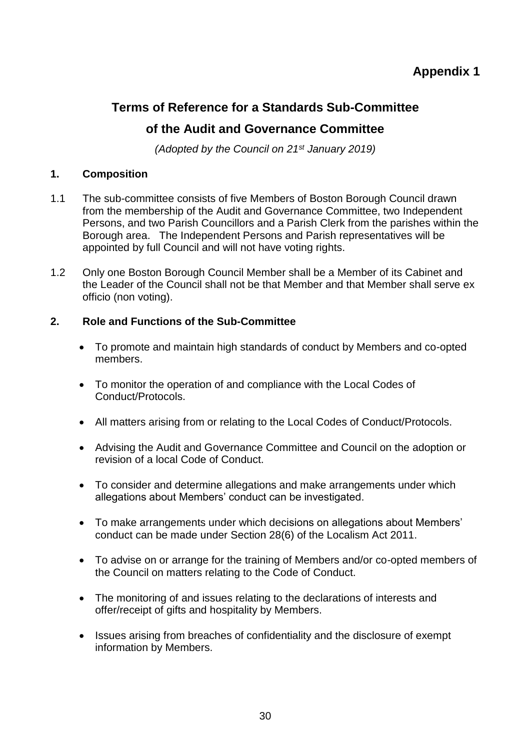# **Appendix 1**

# **Terms of Reference for a Standards Sub-Committee of the Audit and Governance Committee**

*(Adopted by the Council on 21st January 2019)*

#### **1. Composition**

- 1.1 The sub-committee consists of five Members of Boston Borough Council drawn from the membership of the Audit and Governance Committee, two Independent Persons, and two Parish Councillors and a Parish Clerk from the parishes within the Borough area. The Independent Persons and Parish representatives will be appointed by full Council and will not have voting rights.
- 1.2 Only one Boston Borough Council Member shall be a Member of its Cabinet and the Leader of the Council shall not be that Member and that Member shall serve ex officio (non voting).

#### **2. Role and Functions of the Sub-Committee**

- To promote and maintain high standards of conduct by Members and co-opted members.
- To monitor the operation of and compliance with the Local Codes of Conduct/Protocols.
- All matters arising from or relating to the Local Codes of Conduct/Protocols.
- Advising the Audit and Governance Committee and Council on the adoption or revision of a local Code of Conduct.
- To consider and determine allegations and make arrangements under which allegations about Members' conduct can be investigated.
- To make arrangements under which decisions on allegations about Members' conduct can be made under Section 28(6) of the Localism Act 2011.
- To advise on or arrange for the training of Members and/or co-opted members of the Council on matters relating to the Code of Conduct.
- The monitoring of and issues relating to the declarations of interests and offer/receipt of gifts and hospitality by Members.
- Issues arising from breaches of confidentiality and the disclosure of exempt information by Members.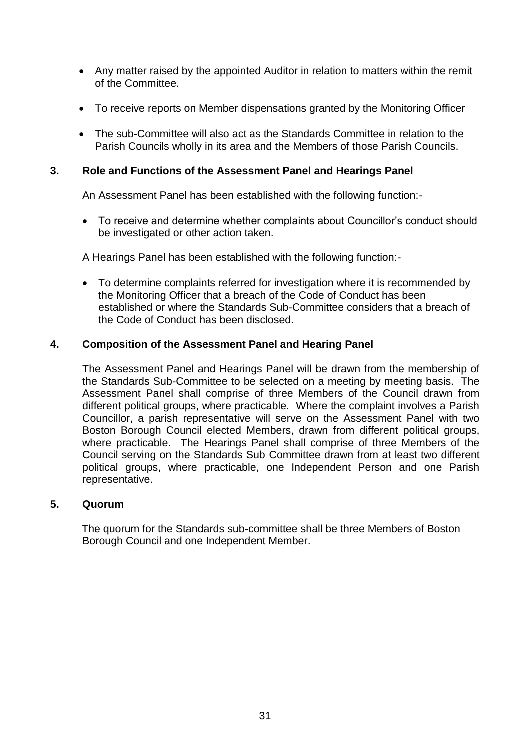- Any matter raised by the appointed Auditor in relation to matters within the remit of the Committee.
- To receive reports on Member dispensations granted by the Monitoring Officer
- The sub-Committee will also act as the Standards Committee in relation to the Parish Councils wholly in its area and the Members of those Parish Councils.

#### **3. Role and Functions of the Assessment Panel and Hearings Panel**

An Assessment Panel has been established with the following function:-

 To receive and determine whether complaints about Councillor's conduct should be investigated or other action taken.

A Hearings Panel has been established with the following function:-

 To determine complaints referred for investigation where it is recommended by the Monitoring Officer that a breach of the Code of Conduct has been established or where the Standards Sub-Committee considers that a breach of the Code of Conduct has been disclosed.

#### **4. Composition of the Assessment Panel and Hearing Panel**

The Assessment Panel and Hearings Panel will be drawn from the membership of the Standards Sub-Committee to be selected on a meeting by meeting basis. The Assessment Panel shall comprise of three Members of the Council drawn from different political groups, where practicable. Where the complaint involves a Parish Councillor, a parish representative will serve on the Assessment Panel with two Boston Borough Council elected Members, drawn from different political groups, where practicable. The Hearings Panel shall comprise of three Members of the Council serving on the Standards Sub Committee drawn from at least two different political groups, where practicable, one Independent Person and one Parish representative.

#### **5. Quorum**

The quorum for the Standards sub-committee shall be three Members of Boston Borough Council and one Independent Member.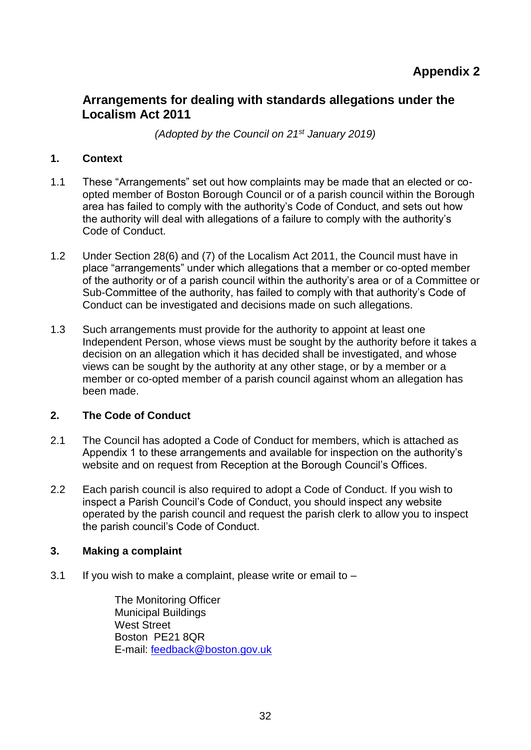# **Appendix 2**

# **Arrangements for dealing with standards allegations under the Localism Act 2011**

*(Adopted by the Council on 21st January 2019)*

#### **1. Context**

- 1.1 These "Arrangements" set out how complaints may be made that an elected or coopted member of Boston Borough Council or of a parish council within the Borough area has failed to comply with the authority's Code of Conduct, and sets out how the authority will deal with allegations of a failure to comply with the authority's Code of Conduct.
- 1.2 Under Section 28(6) and (7) of the Localism Act 2011, the Council must have in place "arrangements" under which allegations that a member or co-opted member of the authority or of a parish council within the authority's area or of a Committee or Sub-Committee of the authority, has failed to comply with that authority's Code of Conduct can be investigated and decisions made on such allegations.
- 1.3 Such arrangements must provide for the authority to appoint at least one Independent Person, whose views must be sought by the authority before it takes a decision on an allegation which it has decided shall be investigated, and whose views can be sought by the authority at any other stage, or by a member or a member or co-opted member of a parish council against whom an allegation has been made.

### **2. The Code of Conduct**

- 2.1 The Council has adopted a Code of Conduct for members, which is attached as Appendix 1 to these arrangements and available for inspection on the authority's website and on request from Reception at the Borough Council's Offices.
- 2.2 Each parish council is also required to adopt a Code of Conduct. If you wish to inspect a Parish Council's Code of Conduct, you should inspect any website operated by the parish council and request the parish clerk to allow you to inspect the parish council's Code of Conduct.

#### **3. Making a complaint**

3.1 If you wish to make a complaint, please write or email to  $-$ 

The Monitoring Officer Municipal Buildings West Street Boston PE21 8QR E-mail: [feedback@boston.gov.uk](mailto:feedback@boston.gov.uk)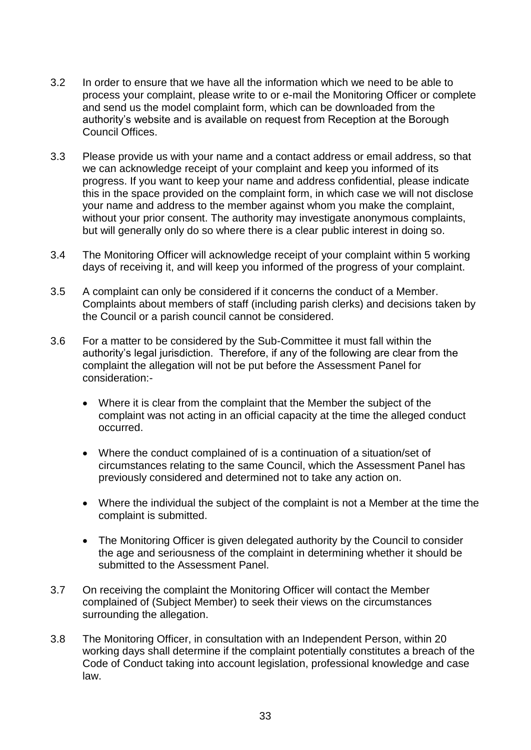- 3.2 In order to ensure that we have all the information which we need to be able to process your complaint, please write to or e-mail the Monitoring Officer or complete and send us the model complaint form, which can be downloaded from the authority's website and is available on request from Reception at the Borough Council Offices.
- 3.3 Please provide us with your name and a contact address or email address, so that we can acknowledge receipt of your complaint and keep you informed of its progress. If you want to keep your name and address confidential, please indicate this in the space provided on the complaint form, in which case we will not disclose your name and address to the member against whom you make the complaint, without your prior consent. The authority may investigate anonymous complaints, but will generally only do so where there is a clear public interest in doing so.
- 3.4 The Monitoring Officer will acknowledge receipt of your complaint within 5 working days of receiving it, and will keep you informed of the progress of your complaint.
- 3.5 A complaint can only be considered if it concerns the conduct of a Member. Complaints about members of staff (including parish clerks) and decisions taken by the Council or a parish council cannot be considered.
- 3.6 For a matter to be considered by the Sub-Committee it must fall within the authority's legal jurisdiction. Therefore, if any of the following are clear from the complaint the allegation will not be put before the Assessment Panel for consideration:-
	- Where it is clear from the complaint that the Member the subject of the complaint was not acting in an official capacity at the time the alleged conduct occurred.
	- Where the conduct complained of is a continuation of a situation/set of circumstances relating to the same Council, which the Assessment Panel has previously considered and determined not to take any action on.
	- Where the individual the subject of the complaint is not a Member at the time the complaint is submitted.
	- The Monitoring Officer is given delegated authority by the Council to consider the age and seriousness of the complaint in determining whether it should be submitted to the Assessment Panel.
- 3.7 On receiving the complaint the Monitoring Officer will contact the Member complained of (Subject Member) to seek their views on the circumstances surrounding the allegation.
- 3.8 The Monitoring Officer, in consultation with an Independent Person, within 20 working days shall determine if the complaint potentially constitutes a breach of the Code of Conduct taking into account legislation, professional knowledge and case law.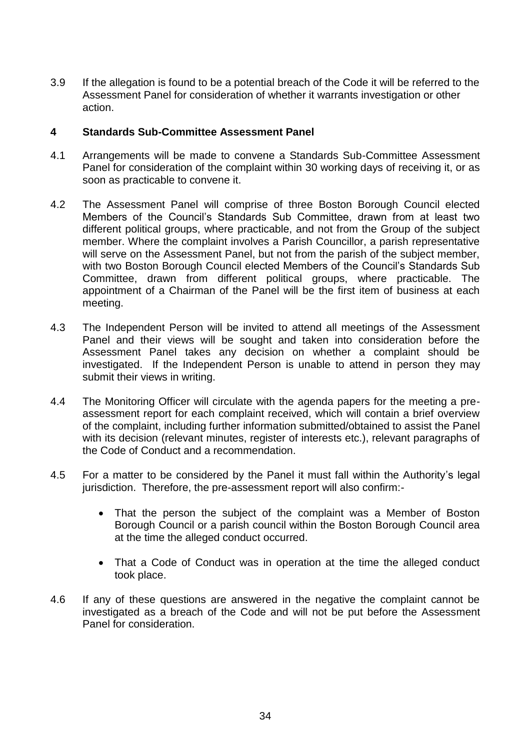3.9 If the allegation is found to be a potential breach of the Code it will be referred to the Assessment Panel for consideration of whether it warrants investigation or other action.

#### **4 Standards Sub-Committee Assessment Panel**

- 4.1 Arrangements will be made to convene a Standards Sub-Committee Assessment Panel for consideration of the complaint within 30 working days of receiving it, or as soon as practicable to convene it.
- 4.2 The Assessment Panel will comprise of three Boston Borough Council elected Members of the Council's Standards Sub Committee, drawn from at least two different political groups, where practicable, and not from the Group of the subject member. Where the complaint involves a Parish Councillor, a parish representative will serve on the Assessment Panel, but not from the parish of the subject member, with two Boston Borough Council elected Members of the Council's Standards Sub Committee, drawn from different political groups, where practicable. The appointment of a Chairman of the Panel will be the first item of business at each meeting.
- 4.3 The Independent Person will be invited to attend all meetings of the Assessment Panel and their views will be sought and taken into consideration before the Assessment Panel takes any decision on whether a complaint should be investigated. If the Independent Person is unable to attend in person they may submit their views in writing.
- 4.4 The Monitoring Officer will circulate with the agenda papers for the meeting a preassessment report for each complaint received, which will contain a brief overview of the complaint, including further information submitted/obtained to assist the Panel with its decision (relevant minutes, register of interests etc.), relevant paragraphs of the Code of Conduct and a recommendation.
- 4.5 For a matter to be considered by the Panel it must fall within the Authority's legal jurisdiction. Therefore, the pre-assessment report will also confirm:-
	- That the person the subject of the complaint was a Member of Boston Borough Council or a parish council within the Boston Borough Council area at the time the alleged conduct occurred.
	- That a Code of Conduct was in operation at the time the alleged conduct took place.
- 4.6 If any of these questions are answered in the negative the complaint cannot be investigated as a breach of the Code and will not be put before the Assessment Panel for consideration.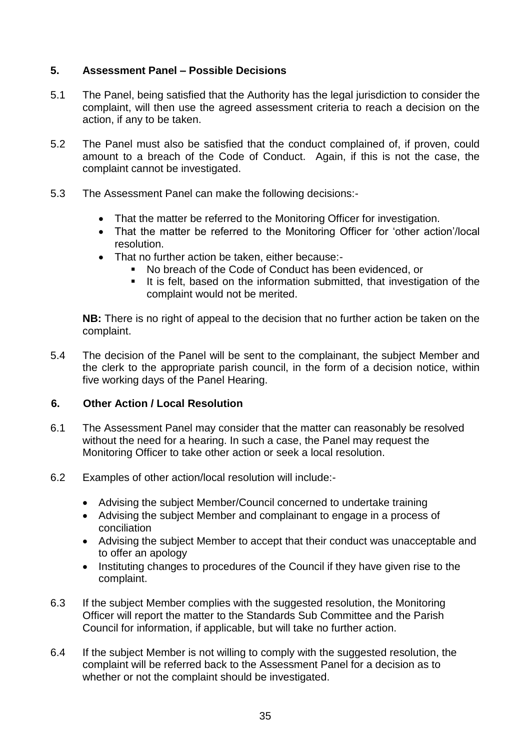#### **5. Assessment Panel – Possible Decisions**

- 5.1 The Panel, being satisfied that the Authority has the legal jurisdiction to consider the complaint, will then use the agreed assessment criteria to reach a decision on the action, if any to be taken.
- 5.2 The Panel must also be satisfied that the conduct complained of, if proven, could amount to a breach of the Code of Conduct. Again, if this is not the case, the complaint cannot be investigated.
- 5.3 The Assessment Panel can make the following decisions:-
	- That the matter be referred to the Monitoring Officer for investigation.
	- That the matter be referred to the Monitoring Officer for 'other action'/local resolution.
	- That no further action be taken, either because:-
		- No breach of the Code of Conduct has been evidenced, or
		- It is felt, based on the information submitted, that investigation of the complaint would not be merited.

**NB:** There is no right of appeal to the decision that no further action be taken on the complaint.

5.4 The decision of the Panel will be sent to the complainant, the subject Member and the clerk to the appropriate parish council, in the form of a decision notice, within five working days of the Panel Hearing.

#### **6. Other Action / Local Resolution**

- 6.1 The Assessment Panel may consider that the matter can reasonably be resolved without the need for a hearing. In such a case, the Panel may request the Monitoring Officer to take other action or seek a local resolution.
- 6.2 Examples of other action/local resolution will include:-
	- Advising the subject Member/Council concerned to undertake training
	- Advising the subject Member and complainant to engage in a process of conciliation
	- Advising the subject Member to accept that their conduct was unacceptable and to offer an apology
	- Instituting changes to procedures of the Council if they have given rise to the complaint.
- 6.3 If the subject Member complies with the suggested resolution, the Monitoring Officer will report the matter to the Standards Sub Committee and the Parish Council for information, if applicable, but will take no further action.
- 6.4 If the subject Member is not willing to comply with the suggested resolution, the complaint will be referred back to the Assessment Panel for a decision as to whether or not the complaint should be investigated.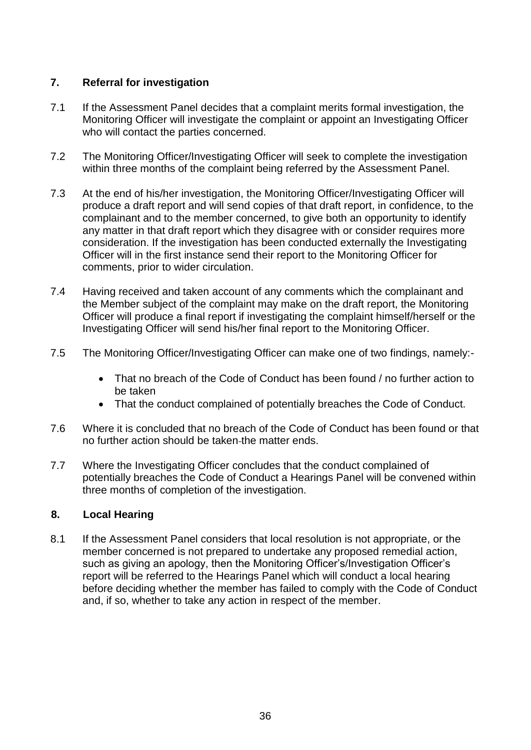#### **7. Referral for investigation**

- 7.1 If the Assessment Panel decides that a complaint merits formal investigation, the Monitoring Officer will investigate the complaint or appoint an Investigating Officer who will contact the parties concerned.
- 7.2 The Monitoring Officer/Investigating Officer will seek to complete the investigation within three months of the complaint being referred by the Assessment Panel.
- 7.3 At the end of his/her investigation, the Monitoring Officer/Investigating Officer will produce a draft report and will send copies of that draft report, in confidence, to the complainant and to the member concerned, to give both an opportunity to identify any matter in that draft report which they disagree with or consider requires more consideration. If the investigation has been conducted externally the Investigating Officer will in the first instance send their report to the Monitoring Officer for comments, prior to wider circulation.
- 7.4 Having received and taken account of any comments which the complainant and the Member subject of the complaint may make on the draft report, the Monitoring Officer will produce a final report if investigating the complaint himself/herself or the Investigating Officer will send his/her final report to the Monitoring Officer.
- 7.5 The Monitoring Officer/Investigating Officer can make one of two findings, namely:-
	- That no breach of the Code of Conduct has been found / no further action to be taken
	- That the conduct complained of potentially breaches the Code of Conduct.
- 7.6 Where it is concluded that no breach of the Code of Conduct has been found or that no further action should be taken the matter ends.
- 7.7 Where the Investigating Officer concludes that the conduct complained of potentially breaches the Code of Conduct a Hearings Panel will be convened within three months of completion of the investigation.

### **8. Local Hearing**

8.1 If the Assessment Panel considers that local resolution is not appropriate, or the member concerned is not prepared to undertake any proposed remedial action, such as giving an apology, then the Monitoring Officer's/Investigation Officer's report will be referred to the Hearings Panel which will conduct a local hearing before deciding whether the member has failed to comply with the Code of Conduct and, if so, whether to take any action in respect of the member.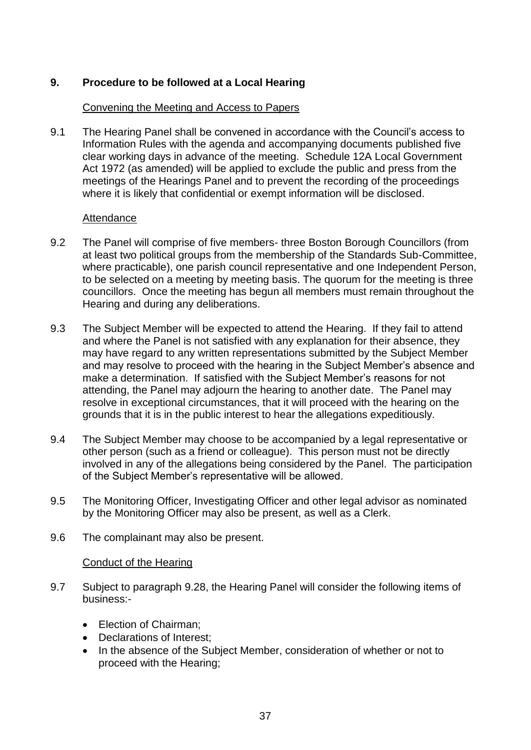#### **9. Procedure to be followed at a Local Hearing**

#### Convening the Meeting and Access to Papers

9.1 The Hearing Panel shall be convened in accordance with the Council's access to Information Rules with the agenda and accompanying documents published five clear working days in advance of the meeting. Schedule 12A Local Government Act 1972 (as amended) will be applied to exclude the public and press from the meetings of the Hearings Panel and to prevent the recording of the proceedings where it is likely that confidential or exempt information will be disclosed.

#### Attendance

- 9.2 The Panel will comprise of five members- three Boston Borough Councillors (from at least two political groups from the membership of the Standards Sub-Committee, where practicable), one parish council representative and one Independent Person, to be selected on a meeting by meeting basis. The quorum for the meeting is three councillors. Once the meeting has begun all members must remain throughout the Hearing and during any deliberations.
- 9.3 The Subject Member will be expected to attend the Hearing. If they fail to attend and where the Panel is not satisfied with any explanation for their absence, they may have regard to any written representations submitted by the Subject Member and may resolve to proceed with the hearing in the Subject Member's absence and make a determination. If satisfied with the Subject Member's reasons for not attending, the Panel may adjourn the hearing to another date. The Panel may resolve in exceptional circumstances, that it will proceed with the hearing on the grounds that it is in the public interest to hear the allegations expeditiously.
- 9.4 The Subject Member may choose to be accompanied by a legal representative or other person (such as a friend or colleague). This person must not be directly involved in any of the allegations being considered by the Panel. The participation of the Subject Member's representative will be allowed.
- 9.5 The Monitoring Officer, Investigating Officer and other legal advisor as nominated by the Monitoring Officer may also be present, as well as a Clerk.
- 9.6 The complainant may also be present.

#### Conduct of the Hearing

- 9.7 Subject to paragraph 9.28, the Hearing Panel will consider the following items of business:-
	- Election of Chairman;
	- Declarations of Interest;
	- In the absence of the Subject Member, consideration of whether or not to proceed with the Hearing;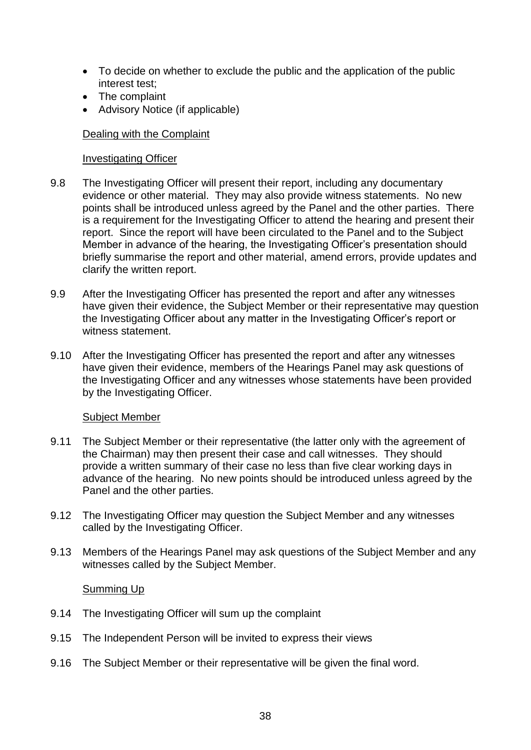- To decide on whether to exclude the public and the application of the public interest test;
- The complaint
- Advisory Notice (if applicable)

#### Dealing with the Complaint

#### Investigating Officer

- 9.8 The Investigating Officer will present their report, including any documentary evidence or other material. They may also provide witness statements. No new points shall be introduced unless agreed by the Panel and the other parties. There is a requirement for the Investigating Officer to attend the hearing and present their report. Since the report will have been circulated to the Panel and to the Subject Member in advance of the hearing, the Investigating Officer's presentation should briefly summarise the report and other material, amend errors, provide updates and clarify the written report.
- 9.9 After the Investigating Officer has presented the report and after any witnesses have given their evidence, the Subject Member or their representative may question the Investigating Officer about any matter in the Investigating Officer's report or witness statement.
- 9.10 After the Investigating Officer has presented the report and after any witnesses have given their evidence, members of the Hearings Panel may ask questions of the Investigating Officer and any witnesses whose statements have been provided by the Investigating Officer.

#### Subject Member

- 9.11 The Subject Member or their representative (the latter only with the agreement of the Chairman) may then present their case and call witnesses. They should provide a written summary of their case no less than five clear working days in advance of the hearing. No new points should be introduced unless agreed by the Panel and the other parties.
- 9.12 The Investigating Officer may question the Subject Member and any witnesses called by the Investigating Officer.
- 9.13 Members of the Hearings Panel may ask questions of the Subject Member and any witnesses called by the Subject Member.

#### Summing Up

- 9.14 The Investigating Officer will sum up the complaint
- 9.15 The Independent Person will be invited to express their views
- 9.16 The Subject Member or their representative will be given the final word.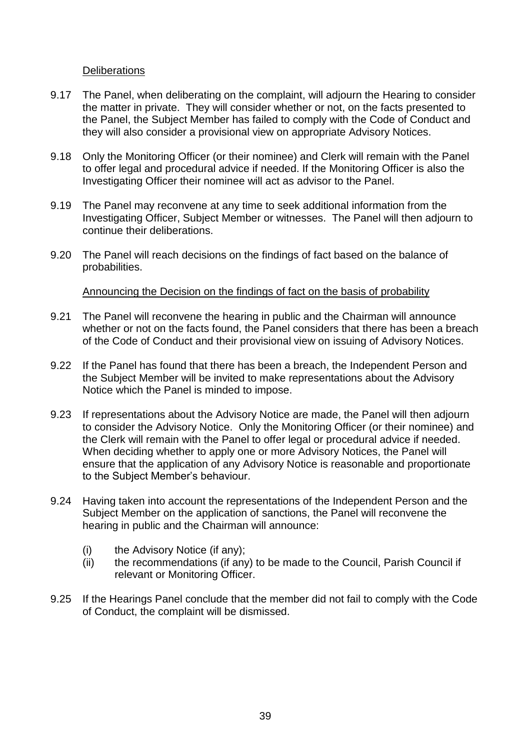#### **Deliberations**

- 9.17 The Panel, when deliberating on the complaint, will adjourn the Hearing to consider the matter in private. They will consider whether or not, on the facts presented to the Panel, the Subject Member has failed to comply with the Code of Conduct and they will also consider a provisional view on appropriate Advisory Notices.
- 9.18 Only the Monitoring Officer (or their nominee) and Clerk will remain with the Panel to offer legal and procedural advice if needed. If the Monitoring Officer is also the Investigating Officer their nominee will act as advisor to the Panel.
- 9.19 The Panel may reconvene at any time to seek additional information from the Investigating Officer, Subject Member or witnesses. The Panel will then adjourn to continue their deliberations.
- 9.20 The Panel will reach decisions on the findings of fact based on the balance of probabilities.

#### Announcing the Decision on the findings of fact on the basis of probability

- 9.21 The Panel will reconvene the hearing in public and the Chairman will announce whether or not on the facts found, the Panel considers that there has been a breach of the Code of Conduct and their provisional view on issuing of Advisory Notices.
- 9.22 If the Panel has found that there has been a breach, the Independent Person and the Subject Member will be invited to make representations about the Advisory Notice which the Panel is minded to impose.
- 9.23 If representations about the Advisory Notice are made, the Panel will then adjourn to consider the Advisory Notice. Only the Monitoring Officer (or their nominee) and the Clerk will remain with the Panel to offer legal or procedural advice if needed. When deciding whether to apply one or more Advisory Notices, the Panel will ensure that the application of any Advisory Notice is reasonable and proportionate to the Subject Member's behaviour.
- 9.24 Having taken into account the representations of the Independent Person and the Subject Member on the application of sanctions, the Panel will reconvene the hearing in public and the Chairman will announce:
	- (i) the Advisory Notice (if any);
	- (ii) the recommendations (if any) to be made to the Council, Parish Council if relevant or Monitoring Officer.
- 9.25 If the Hearings Panel conclude that the member did not fail to comply with the Code of Conduct, the complaint will be dismissed.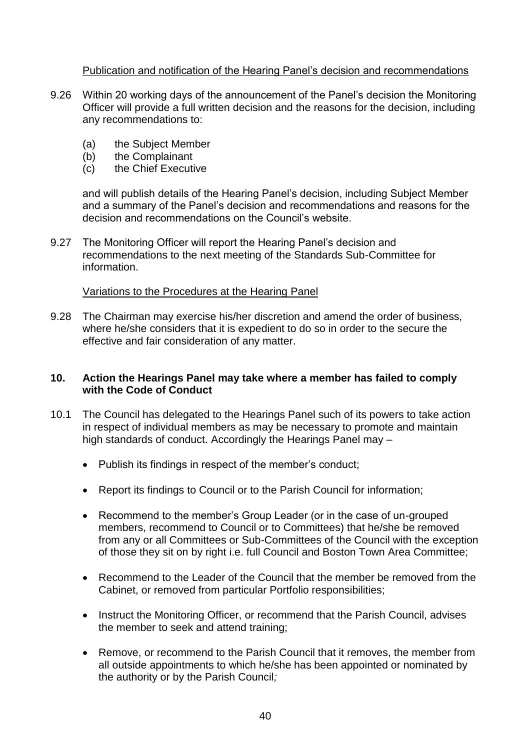#### Publication and notification of the Hearing Panel's decision and recommendations

- 9.26 Within 20 working days of the announcement of the Panel's decision the Monitoring Officer will provide a full written decision and the reasons for the decision, including any recommendations to:
	- (a) the Subject Member
	- (b) the Complainant
	- (c) the Chief Executive

and will publish details of the Hearing Panel's decision, including Subject Member and a summary of the Panel's decision and recommendations and reasons for the decision and recommendations on the Council's website.

9.27 The Monitoring Officer will report the Hearing Panel's decision and recommendations to the next meeting of the Standards Sub-Committee for information.

#### Variations to the Procedures at the Hearing Panel

9.28 The Chairman may exercise his/her discretion and amend the order of business, where he/she considers that it is expedient to do so in order to the secure the effective and fair consideration of any matter.

#### **10. Action the Hearings Panel may take where a member has failed to comply with the Code of Conduct**

- 10.1 The Council has delegated to the Hearings Panel such of its powers to take action in respect of individual members as may be necessary to promote and maintain high standards of conduct. Accordingly the Hearings Panel may –
	- Publish its findings in respect of the member's conduct;
	- Report its findings to Council or to the Parish Council for information;
	- Recommend to the member's Group Leader (or in the case of un-grouped members, recommend to Council or to Committees) that he/she be removed from any or all Committees or Sub-Committees of the Council with the exception of those they sit on by right i.e. full Council and Boston Town Area Committee;
	- Recommend to the Leader of the Council that the member be removed from the Cabinet, or removed from particular Portfolio responsibilities;
	- Instruct the Monitoring Officer, or recommend that the Parish Council, advises the member to seek and attend training;
	- Remove, or recommend to the Parish Council that it removes, the member from all outside appointments to which he/she has been appointed or nominated by the authority or by the Parish Council*;*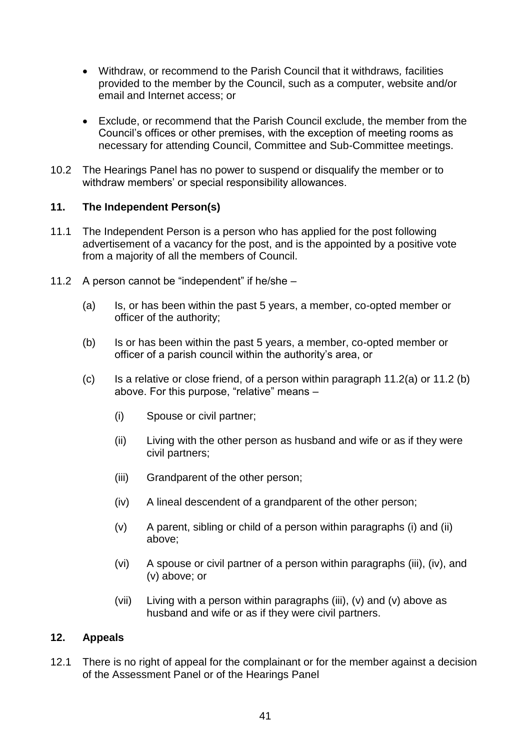- Withdraw, or recommend to the Parish Council that it withdraws*,* facilities provided to the member by the Council, such as a computer, website and/or email and Internet access; or
- Exclude, or recommend that the Parish Council exclude, the member from the Council's offices or other premises, with the exception of meeting rooms as necessary for attending Council, Committee and Sub-Committee meetings.
- 10.2 The Hearings Panel has no power to suspend or disqualify the member or to withdraw members' or special responsibility allowances.

#### **11. The Independent Person(s)**

- 11.1 The Independent Person is a person who has applied for the post following advertisement of a vacancy for the post, and is the appointed by a positive vote from a majority of all the members of Council.
- 11.2 A person cannot be "independent" if he/she
	- (a) Is, or has been within the past 5 years, a member, co-opted member or officer of the authority;
	- (b) Is or has been within the past 5 years, a member, co-opted member or officer of a parish council within the authority's area, or
	- (c) Is a relative or close friend, of a person within paragraph  $11.2(a)$  or  $11.2(b)$ above. For this purpose, "relative" means –
		- (i) Spouse or civil partner;
		- (ii) Living with the other person as husband and wife or as if they were civil partners;
		- (iii) Grandparent of the other person;
		- (iv) A lineal descendent of a grandparent of the other person;
		- (v) A parent, sibling or child of a person within paragraphs (i) and (ii) above;
		- (vi) A spouse or civil partner of a person within paragraphs (iii), (iv), and (v) above; or
		- (vii) Living with a person within paragraphs (iii), (v) and (v) above as husband and wife or as if they were civil partners.

#### **12. Appeals**

12.1 There is no right of appeal for the complainant or for the member against a decision of the Assessment Panel or of the Hearings Panel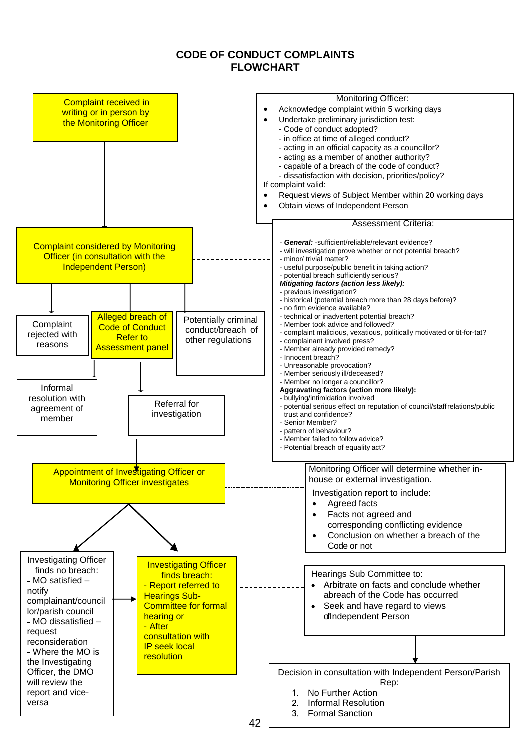#### **CODE OF CONDUCT COMPLAINTS FLOWCHART**

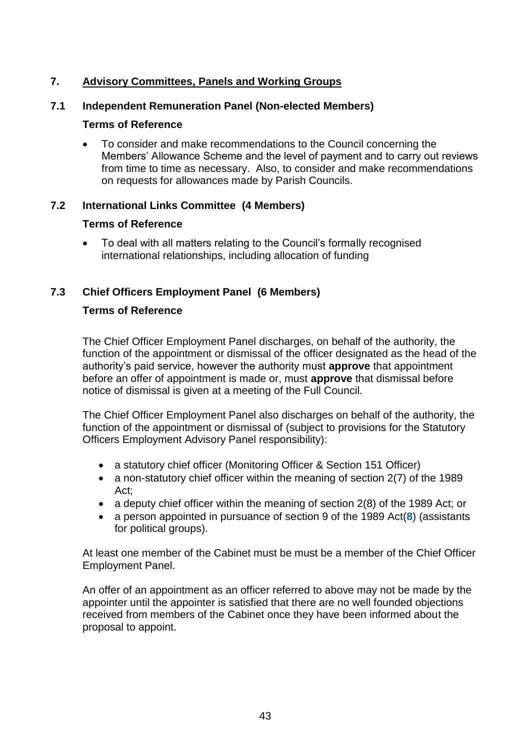# **7. Advisory Committees, Panels and Working Groups**

#### **7.1 Independent Remuneration Panel (Non-elected Members)**

#### **Terms of Reference**

 To consider and make recommendations to the Council concerning the Members' Allowance Scheme and the level of payment and to carry out reviews from time to time as necessary. Also, to consider and make recommendations on requests for allowances made by Parish Councils.

#### **7.2 International Links Committee (4 Members)**

#### **Terms of Reference**

 To deal with all matters relating to the Council's formally recognised international relationships, including allocation of funding

#### **7.3 Chief Officers Employment Panel (6 Members)**

#### **Terms of Reference**

The Chief Officer Employment Panel discharges, on behalf of the authority, the function of the appointment or dismissal of the officer designated as the head of the authority's paid service, however the authority must **approve** that appointment before an offer of appointment is made or, must **approve** that dismissal before notice of dismissal is given at a meeting of the Full Council.

The Chief Officer Employment Panel also discharges on behalf of the authority, the function of the appointment or dismissal of (subject to provisions for the Statutory Officers Employment Advisory Panel responsibility):

- a statutory chief officer (Monitoring Officer & Section 151 Officer)
- a non-statutory chief officer within the meaning of section 2(7) of the 1989 Act;
- a deputy chief officer within the meaning of section 2(8) of the 1989 Act; or
- a person appointed in pursuance of section 9 of the 1989 Act(**[8](http://www.legislation.gov.uk/uksi/2001/3384/schedule/1/made#f00022)**) (assistants for political groups).

At least one member of the Cabinet must be must be a member of the Chief Officer Employment Panel.

An offer of an appointment as an officer referred to above may not be made by the appointer until the appointer is satisfied that there are no well founded objections received from members of the Cabinet once they have been informed about the proposal to appoint.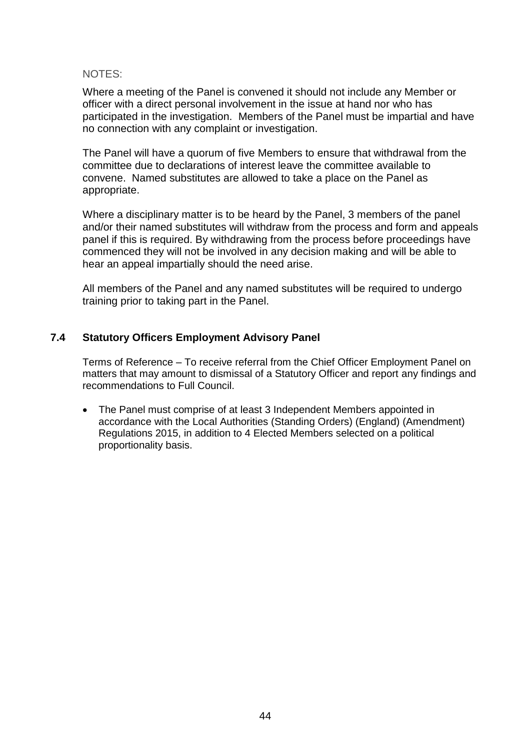#### NOTES:

Where a meeting of the Panel is convened it should not include any Member or officer with a direct personal involvement in the issue at hand nor who has participated in the investigation. Members of the Panel must be impartial and have no connection with any complaint or investigation.

The Panel will have a quorum of five Members to ensure that withdrawal from the committee due to declarations of interest leave the committee available to convene. Named substitutes are allowed to take a place on the Panel as appropriate.

Where a disciplinary matter is to be heard by the Panel, 3 members of the panel and/or their named substitutes will withdraw from the process and form and appeals panel if this is required. By withdrawing from the process before proceedings have commenced they will not be involved in any decision making and will be able to hear an appeal impartially should the need arise.

All members of the Panel and any named substitutes will be required to undergo training prior to taking part in the Panel.

#### **7.4 Statutory Officers Employment Advisory Panel**

Terms of Reference – To receive referral from the Chief Officer Employment Panel on matters that may amount to dismissal of a Statutory Officer and report any findings and recommendations to Full Council.

 The Panel must comprise of at least 3 Independent Members appointed in accordance with the Local Authorities (Standing Orders) (England) (Amendment) Regulations 2015, in addition to 4 Elected Members selected on a political proportionality basis.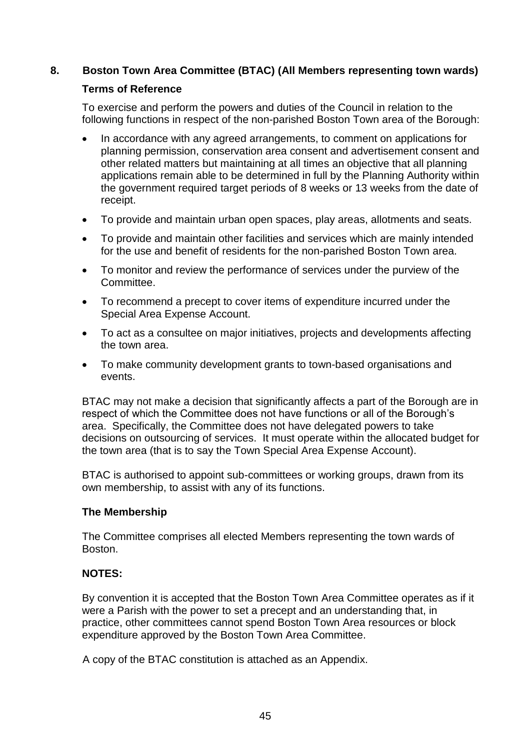#### **8. Boston Town Area Committee (BTAC) (All Members representing town wards)**

#### **Terms of Reference**

To exercise and perform the powers and duties of the Council in relation to the following functions in respect of the non-parished Boston Town area of the Borough:

- In accordance with any agreed arrangements, to comment on applications for planning permission, conservation area consent and advertisement consent and other related matters but maintaining at all times an objective that all planning applications remain able to be determined in full by the Planning Authority within the government required target periods of 8 weeks or 13 weeks from the date of receipt.
- To provide and maintain urban open spaces, play areas, allotments and seats.
- To provide and maintain other facilities and services which are mainly intended for the use and benefit of residents for the non-parished Boston Town area.
- To monitor and review the performance of services under the purview of the Committee.
- To recommend a precept to cover items of expenditure incurred under the Special Area Expense Account.
- To act as a consultee on major initiatives, projects and developments affecting the town area.
- To make community development grants to town-based organisations and events.

BTAC may not make a decision that significantly affects a part of the Borough are in respect of which the Committee does not have functions or all of the Borough's area. Specifically, the Committee does not have delegated powers to take decisions on outsourcing of services. It must operate within the allocated budget for the town area (that is to say the Town Special Area Expense Account).

BTAC is authorised to appoint sub-committees or working groups, drawn from its own membership, to assist with any of its functions.

#### **The Membership**

The Committee comprises all elected Members representing the town wards of Boston.

### **NOTES:**

By convention it is accepted that the Boston Town Area Committee operates as if it were a Parish with the power to set a precept and an understanding that, in practice, other committees cannot spend Boston Town Area resources or block expenditure approved by the Boston Town Area Committee.

A copy of the BTAC constitution is attached as an Appendix.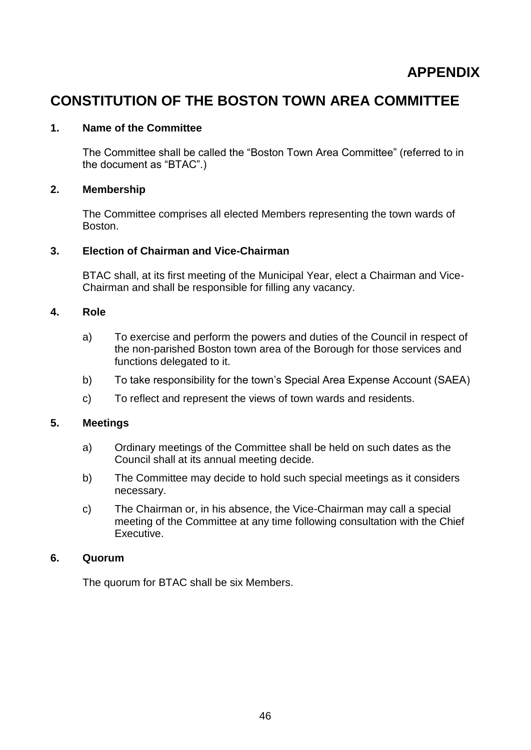# **CONSTITUTION OF THE BOSTON TOWN AREA COMMITTEE**

#### **1. Name of the Committee**

The Committee shall be called the "Boston Town Area Committee" (referred to in the document as "BTAC".)

#### **2. Membership**

The Committee comprises all elected Members representing the town wards of Boston.

#### **3. Election of Chairman and Vice-Chairman**

BTAC shall, at its first meeting of the Municipal Year, elect a Chairman and Vice-Chairman and shall be responsible for filling any vacancy.

#### **4. Role**

- a) To exercise and perform the powers and duties of the Council in respect of the non-parished Boston town area of the Borough for those services and functions delegated to it.
- b) To take responsibility for the town's Special Area Expense Account (SAEA)
- c) To reflect and represent the views of town wards and residents.

#### **5. Meetings**

- a) Ordinary meetings of the Committee shall be held on such dates as the Council shall at its annual meeting decide.
- b) The Committee may decide to hold such special meetings as it considers necessary.
- c) The Chairman or, in his absence, the Vice-Chairman may call a special meeting of the Committee at any time following consultation with the Chief Executive.

#### **6. Quorum**

The quorum for BTAC shall be six Members.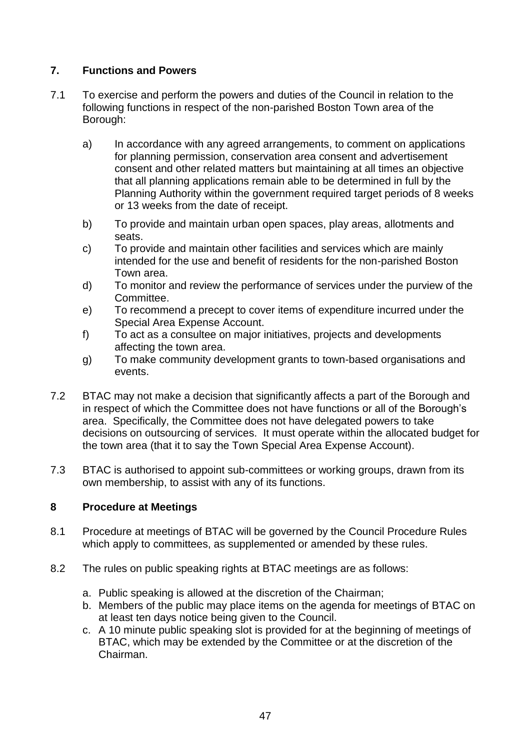# **7. Functions and Powers**

- 7.1 To exercise and perform the powers and duties of the Council in relation to the following functions in respect of the non-parished Boston Town area of the Borough:
	- a) In accordance with any agreed arrangements, to comment on applications for planning permission, conservation area consent and advertisement consent and other related matters but maintaining at all times an objective that all planning applications remain able to be determined in full by the Planning Authority within the government required target periods of 8 weeks or 13 weeks from the date of receipt.
	- b) To provide and maintain urban open spaces, play areas, allotments and seats.
	- c) To provide and maintain other facilities and services which are mainly intended for the use and benefit of residents for the non-parished Boston Town area.
	- d) To monitor and review the performance of services under the purview of the Committee.
	- e) To recommend a precept to cover items of expenditure incurred under the Special Area Expense Account.
	- f) To act as a consultee on major initiatives, projects and developments affecting the town area.
	- g) To make community development grants to town-based organisations and events.
- 7.2 BTAC may not make a decision that significantly affects a part of the Borough and in respect of which the Committee does not have functions or all of the Borough's area. Specifically, the Committee does not have delegated powers to take decisions on outsourcing of services. It must operate within the allocated budget for the town area (that it to say the Town Special Area Expense Account).
- 7.3 BTAC is authorised to appoint sub-committees or working groups, drawn from its own membership, to assist with any of its functions.

### **8 Procedure at Meetings**

- 8.1 Procedure at meetings of BTAC will be governed by the Council Procedure Rules which apply to committees, as supplemented or amended by these rules.
- 8.2 The rules on public speaking rights at BTAC meetings are as follows:
	- a. Public speaking is allowed at the discretion of the Chairman;
	- b. Members of the public may place items on the agenda for meetings of BTAC on at least ten days notice being given to the Council.
	- c. A 10 minute public speaking slot is provided for at the beginning of meetings of BTAC, which may be extended by the Committee or at the discretion of the Chairman.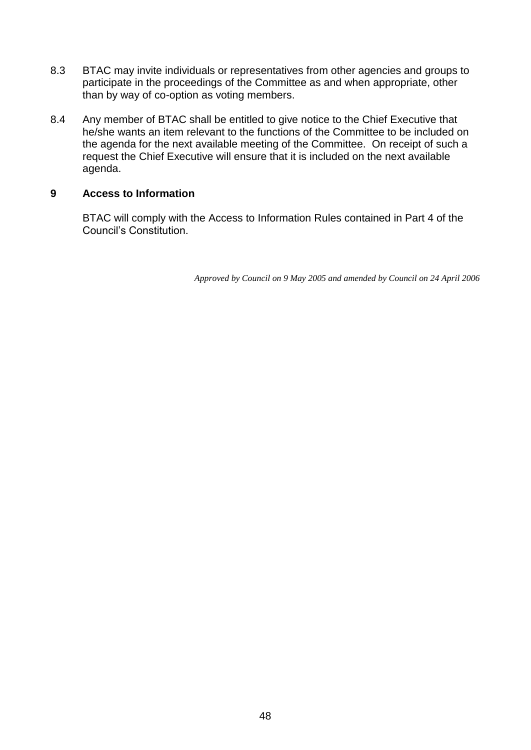- 8.3 BTAC may invite individuals or representatives from other agencies and groups to participate in the proceedings of the Committee as and when appropriate, other than by way of co-option as voting members.
- 8.4 Any member of BTAC shall be entitled to give notice to the Chief Executive that he/she wants an item relevant to the functions of the Committee to be included on the agenda for the next available meeting of the Committee. On receipt of such a request the Chief Executive will ensure that it is included on the next available agenda.

#### **9 Access to Information**

BTAC will comply with the Access to Information Rules contained in Part 4 of the Council's Constitution.

*Approved by Council on 9 May 2005 and amended by Council on 24 April 2006*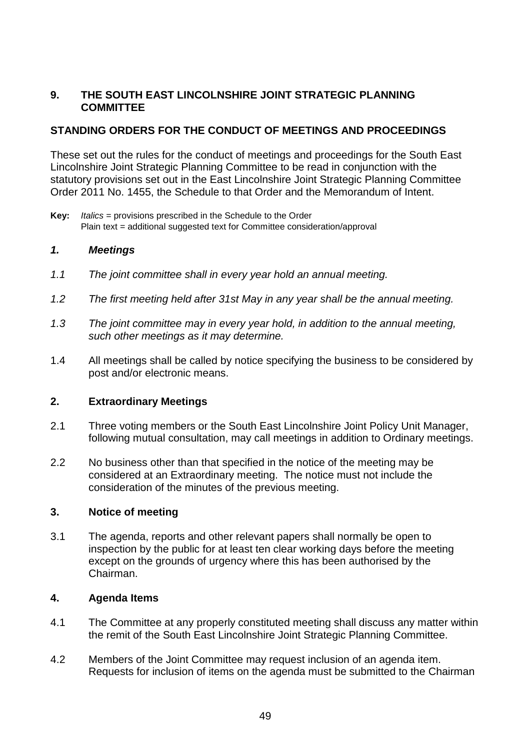#### **9. THE SOUTH EAST LINCOLNSHIRE JOINT STRATEGIC PLANNING COMMITTEE**

# **STANDING ORDERS FOR THE CONDUCT OF MEETINGS AND PROCEEDINGS**

These set out the rules for the conduct of meetings and proceedings for the South East Lincolnshire Joint Strategic Planning Committee to be read in conjunction with the statutory provisions set out in the East Lincolnshire Joint Strategic Planning Committee Order 2011 No. 1455, the Schedule to that Order and the Memorandum of Intent.

**Key:** *Italics* = provisions prescribed in the Schedule to the Order Plain text = additional suggested text for Committee consideration/approval

#### *1. Meetings*

- *1.1 The joint committee shall in every year hold an annual meeting.*
- *1.2 The first meeting held after 31st May in any year shall be the annual meeting.*
- *1.3 The joint committee may in every year hold, in addition to the annual meeting, such other meetings as it may determine.*
- 1.4 All meetings shall be called by notice specifying the business to be considered by post and/or electronic means.

### **2. Extraordinary Meetings**

- 2.1 Three voting members or the South East Lincolnshire Joint Policy Unit Manager, following mutual consultation, may call meetings in addition to Ordinary meetings.
- 2.2 No business other than that specified in the notice of the meeting may be considered at an Extraordinary meeting. The notice must not include the consideration of the minutes of the previous meeting.

#### **3. Notice of meeting**

3.1 The agenda, reports and other relevant papers shall normally be open to inspection by the public for at least ten clear working days before the meeting except on the grounds of urgency where this has been authorised by the Chairman.

#### **4. Agenda Items**

- 4.1 The Committee at any properly constituted meeting shall discuss any matter within the remit of the South East Lincolnshire Joint Strategic Planning Committee.
- 4.2 Members of the Joint Committee may request inclusion of an agenda item. Requests for inclusion of items on the agenda must be submitted to the Chairman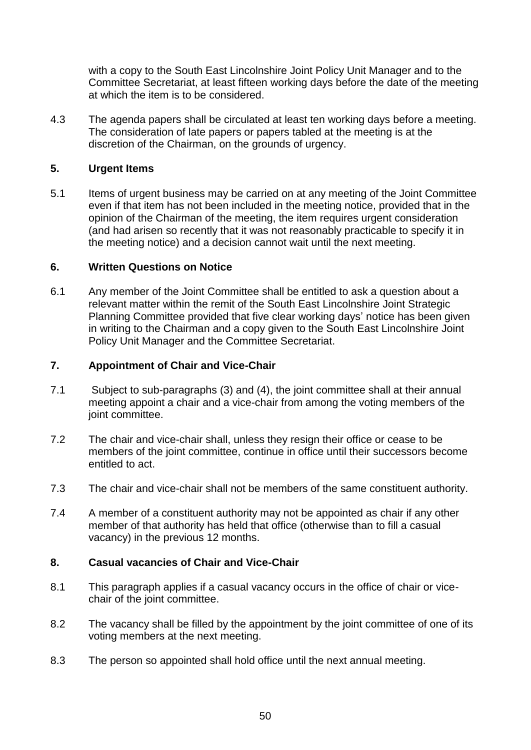with a copy to the South East Lincolnshire Joint Policy Unit Manager and to the Committee Secretariat, at least fifteen working days before the date of the meeting at which the item is to be considered.

4.3 The agenda papers shall be circulated at least ten working days before a meeting. The consideration of late papers or papers tabled at the meeting is at the discretion of the Chairman, on the grounds of urgency.

#### **5. Urgent Items**

5.1 Items of urgent business may be carried on at any meeting of the Joint Committee even if that item has not been included in the meeting notice, provided that in the opinion of the Chairman of the meeting, the item requires urgent consideration (and had arisen so recently that it was not reasonably practicable to specify it in the meeting notice) and a decision cannot wait until the next meeting.

#### **6. Written Questions on Notice**

6.1 Any member of the Joint Committee shall be entitled to ask a question about a relevant matter within the remit of the South East Lincolnshire Joint Strategic Planning Committee provided that five clear working days' notice has been given in writing to the Chairman and a copy given to the South East Lincolnshire Joint Policy Unit Manager and the Committee Secretariat.

#### **7. Appointment of Chair and Vice-Chair**

- 7.1 Subject to sub-paragraphs (3) and (4), the joint committee shall at their annual meeting appoint a chair and a vice-chair from among the voting members of the joint committee.
- 7.2 The chair and vice-chair shall, unless they resign their office or cease to be members of the joint committee, continue in office until their successors become entitled to act.
- 7.3 The chair and vice-chair shall not be members of the same constituent authority.
- 7.4 A member of a constituent authority may not be appointed as chair if any other member of that authority has held that office (otherwise than to fill a casual vacancy) in the previous 12 months.

#### **8. Casual vacancies of Chair and Vice-Chair**

- 8.1 This paragraph applies if a casual vacancy occurs in the office of chair or vicechair of the joint committee.
- 8.2 The vacancy shall be filled by the appointment by the joint committee of one of its voting members at the next meeting.
- 8.3 The person so appointed shall hold office until the next annual meeting.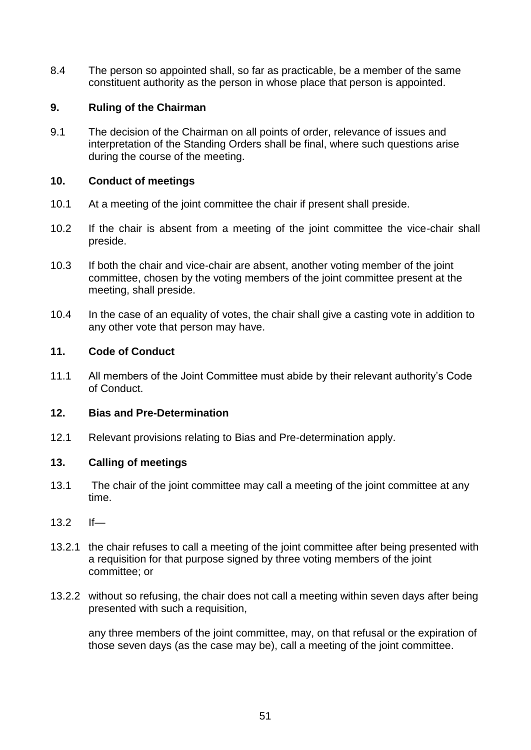8.4 The person so appointed shall, so far as practicable, be a member of the same constituent authority as the person in whose place that person is appointed.

#### **9. Ruling of the Chairman**

9.1 The decision of the Chairman on all points of order, relevance of issues and interpretation of the Standing Orders shall be final, where such questions arise during the course of the meeting.

#### **10. Conduct of meetings**

- 10.1 At a meeting of the joint committee the chair if present shall preside.
- 10.2 If the chair is absent from a meeting of the joint committee the vice-chair shall preside.
- 10.3 If both the chair and vice-chair are absent, another voting member of the joint committee, chosen by the voting members of the joint committee present at the meeting, shall preside.
- 10.4 In the case of an equality of votes, the chair shall give a casting vote in addition to any other vote that person may have.

#### **11. Code of Conduct**

11.1 All members of the Joint Committee must abide by their relevant authority's Code of Conduct.

#### **12. Bias and Pre-Determination**

12.1 Relevant provisions relating to Bias and Pre-determination apply.

#### **13. Calling of meetings**

- 13.1 The chair of the joint committee may call a meeting of the joint committee at any time.
- 13.2 If—
- 13.2.1 the chair refuses to call a meeting of the joint committee after being presented with a requisition for that purpose signed by three voting members of the joint committee; or
- 13.2.2 without so refusing, the chair does not call a meeting within seven days after being presented with such a requisition,

any three members of the joint committee, may, on that refusal or the expiration of those seven days (as the case may be), call a meeting of the joint committee.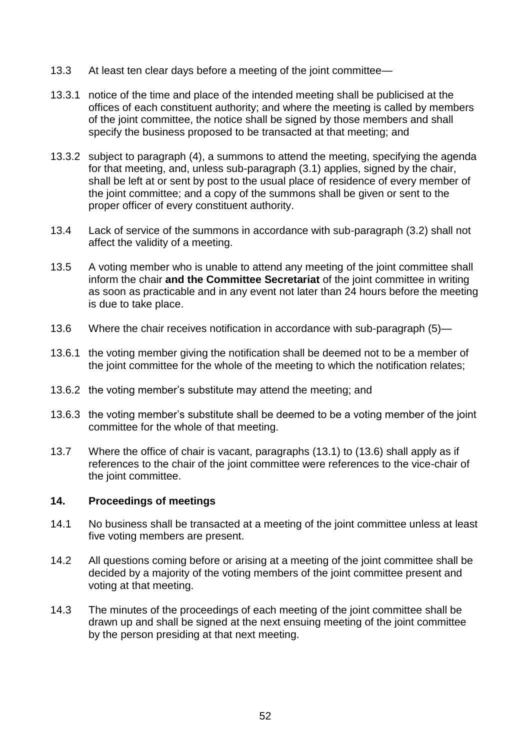- 13.3 At least ten clear days before a meeting of the joint committee—
- 13.3.1 notice of the time and place of the intended meeting shall be publicised at the offices of each constituent authority; and where the meeting is called by members of the joint committee, the notice shall be signed by those members and shall specify the business proposed to be transacted at that meeting; and
- 13.3.2 subject to paragraph (4), a summons to attend the meeting, specifying the agenda for that meeting, and, unless sub-paragraph (3.1) applies, signed by the chair, shall be left at or sent by post to the usual place of residence of every member of the joint committee; and a copy of the summons shall be given or sent to the proper officer of every constituent authority.
- 13.4 Lack of service of the summons in accordance with sub-paragraph (3.2) shall not affect the validity of a meeting.
- 13.5 A voting member who is unable to attend any meeting of the joint committee shall inform the chair **and the Committee Secretariat** of the joint committee in writing as soon as practicable and in any event not later than 24 hours before the meeting is due to take place.
- 13.6 Where the chair receives notification in accordance with sub-paragraph (5)—
- 13.6.1 the voting member giving the notification shall be deemed not to be a member of the joint committee for the whole of the meeting to which the notification relates;
- 13.6.2 the voting member's substitute may attend the meeting; and
- 13.6.3 the voting member's substitute shall be deemed to be a voting member of the joint committee for the whole of that meeting.
- 13.7 Where the office of chair is vacant, paragraphs (13.1) to (13.6) shall apply as if references to the chair of the joint committee were references to the vice-chair of the joint committee.

#### **14. Proceedings of meetings**

- 14.1 No business shall be transacted at a meeting of the joint committee unless at least five voting members are present.
- 14.2 All questions coming before or arising at a meeting of the joint committee shall be decided by a majority of the voting members of the joint committee present and voting at that meeting.
- 14.3 The minutes of the proceedings of each meeting of the joint committee shall be drawn up and shall be signed at the next ensuing meeting of the joint committee by the person presiding at that next meeting.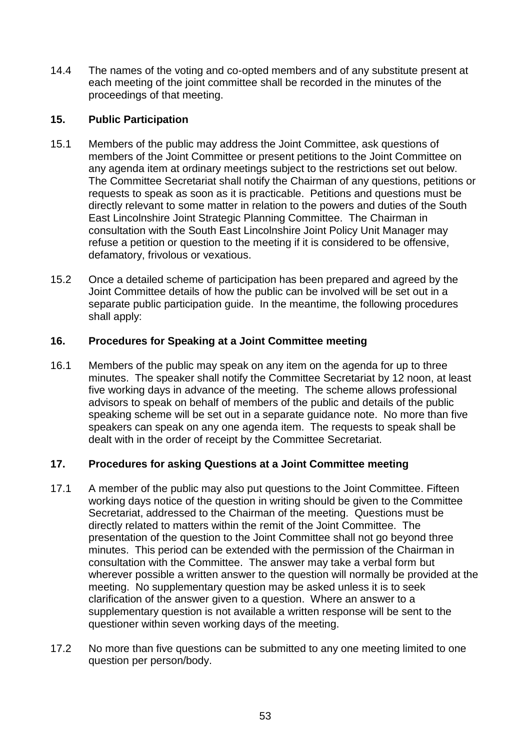14.4 The names of the voting and co-opted members and of any substitute present at each meeting of the joint committee shall be recorded in the minutes of the proceedings of that meeting.

# **15. Public Participation**

- 15.1 Members of the public may address the Joint Committee, ask questions of members of the Joint Committee or present petitions to the Joint Committee on any agenda item at ordinary meetings subject to the restrictions set out below. The Committee Secretariat shall notify the Chairman of any questions, petitions or requests to speak as soon as it is practicable. Petitions and questions must be directly relevant to some matter in relation to the powers and duties of the South East Lincolnshire Joint Strategic Planning Committee. The Chairman in consultation with the South East Lincolnshire Joint Policy Unit Manager may refuse a petition or question to the meeting if it is considered to be offensive, defamatory, frivolous or vexatious.
- 15.2 Once a detailed scheme of participation has been prepared and agreed by the Joint Committee details of how the public can be involved will be set out in a separate public participation guide. In the meantime, the following procedures shall apply:

# **16. Procedures for Speaking at a Joint Committee meeting**

16.1 Members of the public may speak on any item on the agenda for up to three minutes. The speaker shall notify the Committee Secretariat by 12 noon, at least five working days in advance of the meeting. The scheme allows professional advisors to speak on behalf of members of the public and details of the public speaking scheme will be set out in a separate guidance note. No more than five speakers can speak on any one agenda item. The requests to speak shall be dealt with in the order of receipt by the Committee Secretariat.

# **17. Procedures for asking Questions at a Joint Committee meeting**

- 17.1 A member of the public may also put questions to the Joint Committee. Fifteen working days notice of the question in writing should be given to the Committee Secretariat, addressed to the Chairman of the meeting. Questions must be directly related to matters within the remit of the Joint Committee. The presentation of the question to the Joint Committee shall not go beyond three minutes. This period can be extended with the permission of the Chairman in consultation with the Committee. The answer may take a verbal form but wherever possible a written answer to the question will normally be provided at the meeting. No supplementary question may be asked unless it is to seek clarification of the answer given to a question. Where an answer to a supplementary question is not available a written response will be sent to the questioner within seven working days of the meeting.
- 17.2 No more than five questions can be submitted to any one meeting limited to one question per person/body.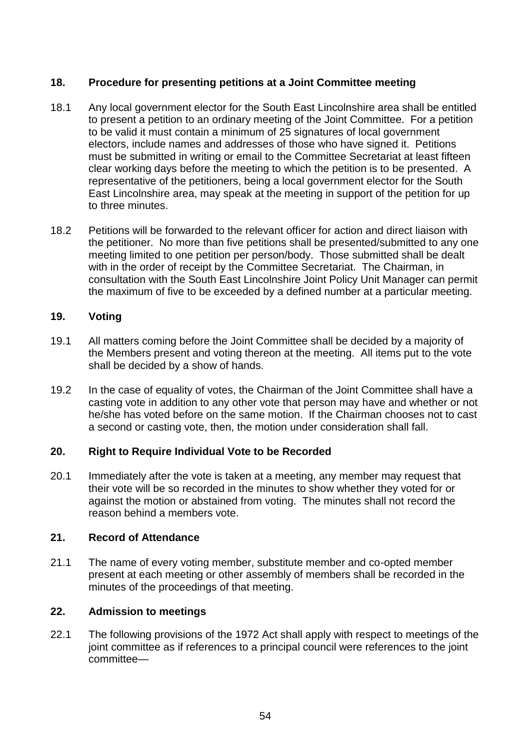#### **18. Procedure for presenting petitions at a Joint Committee meeting**

- 18.1 Any local government elector for the South East Lincolnshire area shall be entitled to present a petition to an ordinary meeting of the Joint Committee. For a petition to be valid it must contain a minimum of 25 signatures of local government electors, include names and addresses of those who have signed it. Petitions must be submitted in writing or email to the Committee Secretariat at least fifteen clear working days before the meeting to which the petition is to be presented. A representative of the petitioners, being a local government elector for the South East Lincolnshire area, may speak at the meeting in support of the petition for up to three minutes.
- 18.2 Petitions will be forwarded to the relevant officer for action and direct liaison with the petitioner. No more than five petitions shall be presented/submitted to any one meeting limited to one petition per person/body. Those submitted shall be dealt with in the order of receipt by the Committee Secretariat. The Chairman, in consultation with the South East Lincolnshire Joint Policy Unit Manager can permit the maximum of five to be exceeded by a defined number at a particular meeting.

#### **19. Voting**

- 19.1 All matters coming before the Joint Committee shall be decided by a majority of the Members present and voting thereon at the meeting. All items put to the vote shall be decided by a show of hands.
- 19.2 In the case of equality of votes, the Chairman of the Joint Committee shall have a casting vote in addition to any other vote that person may have and whether or not he/she has voted before on the same motion. If the Chairman chooses not to cast a second or casting vote, then, the motion under consideration shall fall.

#### **20. Right to Require Individual Vote to be Recorded**

20.1 Immediately after the vote is taken at a meeting, any member may request that their vote will be so recorded in the minutes to show whether they voted for or against the motion or abstained from voting. The minutes shall not record the reason behind a members vote.

#### **21. Record of Attendance**

21.1 The name of every voting member, substitute member and co-opted member present at each meeting or other assembly of members shall be recorded in the minutes of the proceedings of that meeting.

#### **22. Admission to meetings**

22.1 The following provisions of the 1972 Act shall apply with respect to meetings of the joint committee as if references to a principal council were references to the joint committee—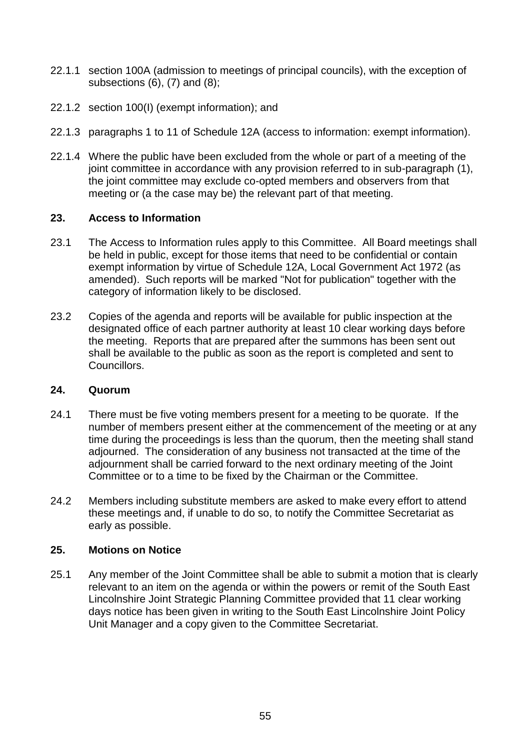- 22.1.1 section 100A (admission to meetings of principal councils), with the exception of subsections (6), (7) and (8);
- 22.1.2 section 100(I) (exempt information); and
- 22.1.3 paragraphs 1 to 11 of Schedule 12A (access to information: exempt information).
- 22.1.4 Where the public have been excluded from the whole or part of a meeting of the joint committee in accordance with any provision referred to in sub-paragraph (1), the joint committee may exclude co-opted members and observers from that meeting or (a the case may be) the relevant part of that meeting.

#### **23. Access to Information**

- 23.1 The Access to Information rules apply to this Committee. All Board meetings shall be held in public, except for those items that need to be confidential or contain exempt information by virtue of Schedule 12A, Local Government Act 1972 (as amended). Such reports will be marked "Not for publication" together with the category of information likely to be disclosed.
- 23.2 Copies of the agenda and reports will be available for public inspection at the designated office of each partner authority at least 10 clear working days before the meeting. Reports that are prepared after the summons has been sent out shall be available to the public as soon as the report is completed and sent to Councillors.

#### **24. Quorum**

- 24.1 There must be five voting members present for a meeting to be quorate. If the number of members present either at the commencement of the meeting or at any time during the proceedings is less than the quorum, then the meeting shall stand adjourned. The consideration of any business not transacted at the time of the adjournment shall be carried forward to the next ordinary meeting of the Joint Committee or to a time to be fixed by the Chairman or the Committee.
- 24.2 Members including substitute members are asked to make every effort to attend these meetings and, if unable to do so, to notify the Committee Secretariat as early as possible.

#### **25. Motions on Notice**

25.1 Any member of the Joint Committee shall be able to submit a motion that is clearly relevant to an item on the agenda or within the powers or remit of the South East Lincolnshire Joint Strategic Planning Committee provided that 11 clear working days notice has been given in writing to the South East Lincolnshire Joint Policy Unit Manager and a copy given to the Committee Secretariat.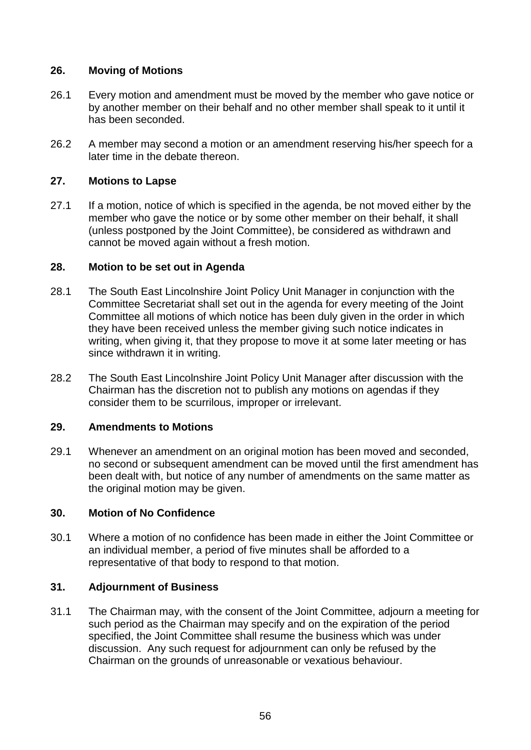## **26. Moving of Motions**

- 26.1 Every motion and amendment must be moved by the member who gave notice or by another member on their behalf and no other member shall speak to it until it has been seconded.
- 26.2 A member may second a motion or an amendment reserving his/her speech for a later time in the debate thereon.

# **27. Motions to Lapse**

27.1 If a motion, notice of which is specified in the agenda, be not moved either by the member who gave the notice or by some other member on their behalf, it shall (unless postponed by the Joint Committee), be considered as withdrawn and cannot be moved again without a fresh motion.

# **28. Motion to be set out in Agenda**

- 28.1 The South East Lincolnshire Joint Policy Unit Manager in conjunction with the Committee Secretariat shall set out in the agenda for every meeting of the Joint Committee all motions of which notice has been duly given in the order in which they have been received unless the member giving such notice indicates in writing, when giving it, that they propose to move it at some later meeting or has since withdrawn it in writing.
- 28.2 The South East Lincolnshire Joint Policy Unit Manager after discussion with the Chairman has the discretion not to publish any motions on agendas if they consider them to be scurrilous, improper or irrelevant.

### **29. Amendments to Motions**

29.1 Whenever an amendment on an original motion has been moved and seconded, no second or subsequent amendment can be moved until the first amendment has been dealt with, but notice of any number of amendments on the same matter as the original motion may be given.

# **30. Motion of No Confidence**

30.1 Where a motion of no confidence has been made in either the Joint Committee or an individual member, a period of five minutes shall be afforded to a representative of that body to respond to that motion.

# **31. Adjournment of Business**

31.1 The Chairman may, with the consent of the Joint Committee, adjourn a meeting for such period as the Chairman may specify and on the expiration of the period specified, the Joint Committee shall resume the business which was under discussion. Any such request for adjournment can only be refused by the Chairman on the grounds of unreasonable or vexatious behaviour.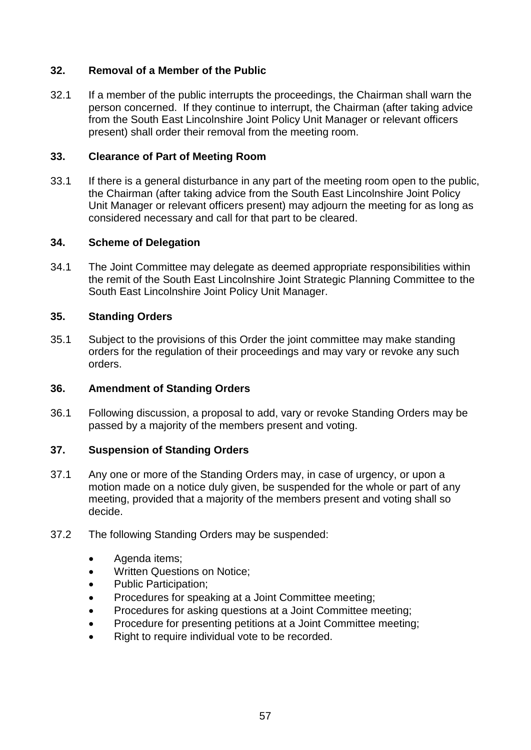## **32. Removal of a Member of the Public**

32.1 If a member of the public interrupts the proceedings, the Chairman shall warn the person concerned. If they continue to interrupt, the Chairman (after taking advice from the South East Lincolnshire Joint Policy Unit Manager or relevant officers present) shall order their removal from the meeting room.

#### **33. Clearance of Part of Meeting Room**

33.1 If there is a general disturbance in any part of the meeting room open to the public, the Chairman (after taking advice from the South East Lincolnshire Joint Policy Unit Manager or relevant officers present) may adjourn the meeting for as long as considered necessary and call for that part to be cleared.

#### **34. Scheme of Delegation**

34.1 The Joint Committee may delegate as deemed appropriate responsibilities within the remit of the South East Lincolnshire Joint Strategic Planning Committee to the South East Lincolnshire Joint Policy Unit Manager.

#### **35. Standing Orders**

35.1 Subject to the provisions of this Order the joint committee may make standing orders for the regulation of their proceedings and may vary or revoke any such orders.

#### **36. Amendment of Standing Orders**

36.1 Following discussion, a proposal to add, vary or revoke Standing Orders may be passed by a majority of the members present and voting.

#### **37. Suspension of Standing Orders**

- 37.1 Any one or more of the Standing Orders may, in case of urgency, or upon a motion made on a notice duly given, be suspended for the whole or part of any meeting, provided that a majority of the members present and voting shall so decide.
- 37.2 The following Standing Orders may be suspended:
	- Agenda items;
	- Written Questions on Notice;
	- Public Participation;
	- Procedures for speaking at a Joint Committee meeting;
	- Procedures for asking questions at a Joint Committee meeting;
	- Procedure for presenting petitions at a Joint Committee meeting;
	- Right to require individual vote to be recorded.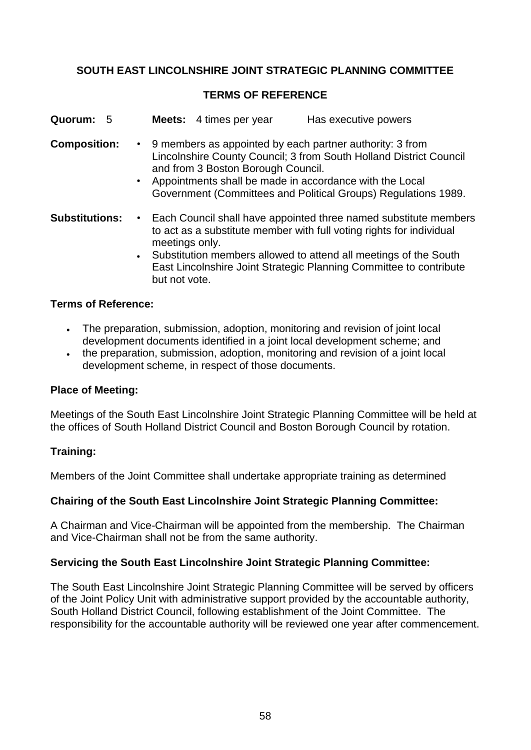# **SOUTH EAST LINCOLNSHIRE JOINT STRATEGIC PLANNING COMMITTEE**

#### **TERMS OF REFERENCE**

| Quorum: 5             |                            | <b>Meets:</b> 4 times per year     | Has executive powers                                                                                                                                                                                                                                                                 |  |
|-----------------------|----------------------------|------------------------------------|--------------------------------------------------------------------------------------------------------------------------------------------------------------------------------------------------------------------------------------------------------------------------------------|--|
| <b>Composition:</b>   | $\bullet$                  | and from 3 Boston Borough Council. | • 9 members as appointed by each partner authority: 3 from<br>Lincolnshire County Council; 3 from South Holland District Council<br>Appointments shall be made in accordance with the Local<br>Government (Committees and Political Groups) Regulations 1989.                        |  |
| <b>Substitutions:</b> | $\bullet$<br>but not vote. | meetings only.                     | Each Council shall have appointed three named substitute members<br>to act as a substitute member with full voting rights for individual<br>• Substitution members allowed to attend all meetings of the South<br>East Lincolnshire Joint Strategic Planning Committee to contribute |  |

#### **Terms of Reference:**

- The preparation, submission, adoption, monitoring and revision of joint local development documents identified in a joint local development scheme; and
- the preparation, submission, adoption, monitoring and revision of a joint local development scheme, in respect of those documents.

#### **Place of Meeting:**

Meetings of the South East Lincolnshire Joint Strategic Planning Committee will be held at the offices of South Holland District Council and Boston Borough Council by rotation.

### **Training:**

Members of the Joint Committee shall undertake appropriate training as determined

#### **Chairing of the South East Lincolnshire Joint Strategic Planning Committee:**

A Chairman and Vice-Chairman will be appointed from the membership. The Chairman and Vice-Chairman shall not be from the same authority.

#### **Servicing the South East Lincolnshire Joint Strategic Planning Committee:**

The South East Lincolnshire Joint Strategic Planning Committee will be served by officers of the Joint Policy Unit with administrative support provided by the accountable authority, South Holland District Council, following establishment of the Joint Committee. The responsibility for the accountable authority will be reviewed one year after commencement.